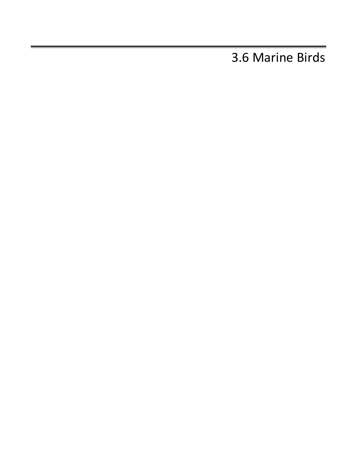3.6 Marine Birds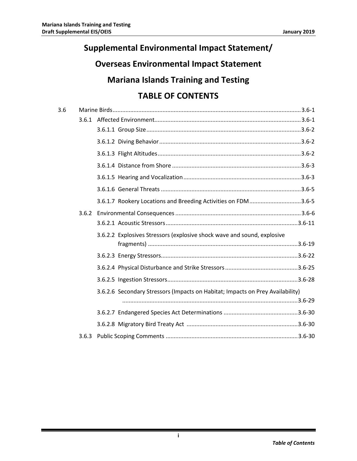# **Supplemental Environmental Impact Statement/**

# **Overseas Environmental Impact Statement**

# **Mariana Islands Training and Testing**

# **TABLE OF CONTENTS**

| 3.6 |                                                                                |  |  |  |  |  |
|-----|--------------------------------------------------------------------------------|--|--|--|--|--|
|     |                                                                                |  |  |  |  |  |
|     |                                                                                |  |  |  |  |  |
|     |                                                                                |  |  |  |  |  |
|     |                                                                                |  |  |  |  |  |
|     |                                                                                |  |  |  |  |  |
|     |                                                                                |  |  |  |  |  |
|     |                                                                                |  |  |  |  |  |
|     | 3.6.1.7 Rookery Locations and Breeding Activities on FDM 3.6-5                 |  |  |  |  |  |
|     |                                                                                |  |  |  |  |  |
|     |                                                                                |  |  |  |  |  |
|     | 3.6.2.2 Explosives Stressors (explosive shock wave and sound, explosive        |  |  |  |  |  |
|     |                                                                                |  |  |  |  |  |
|     |                                                                                |  |  |  |  |  |
|     |                                                                                |  |  |  |  |  |
|     |                                                                                |  |  |  |  |  |
|     | 3.6.2.6 Secondary Stressors (Impacts on Habitat; Impacts on Prey Availability) |  |  |  |  |  |
|     |                                                                                |  |  |  |  |  |
|     |                                                                                |  |  |  |  |  |
|     |                                                                                |  |  |  |  |  |
|     |                                                                                |  |  |  |  |  |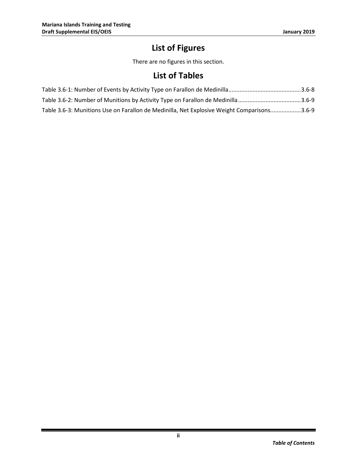# **List of Figures**

There are no figures in this section.

# **List of Tables**

| Table 3.6-3: Munitions Use on Farallon de Medinilla, Net Explosive Weight Comparisons3.6-9 |  |
|--------------------------------------------------------------------------------------------|--|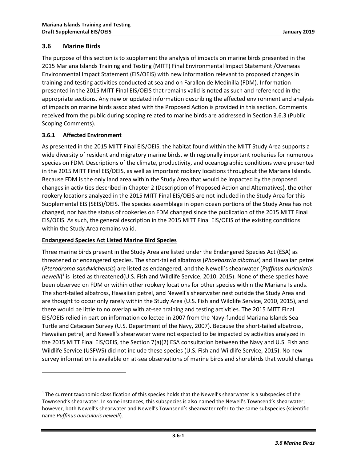# <span id="page-4-0"></span>**3.6 Marine Birds**

The purpose of this section is to supplement the analysis of impacts on marine birds presented in the 2015 Mariana Islands Training and Testing (MITT) Final Environmental Impact Statement /Overseas Environmental Impact Statement (EIS/OEIS) with new information relevant to proposed changes in training and testing activities conducted at sea and on Farallon de Medinilla (FDM). Information presented in the 2015 MITT Final EIS/OEIS that remains valid is noted as such and referenced in the appropriate sections. Any new or updated information describing the affected environment and analysis of impacts on marine birds associated with the Proposed Action is provided in this section. Comments received from the public during scoping related to marine birds are addressed in Section 3.6.3 (Public Scoping Comments).

# <span id="page-4-1"></span>**3.6.1 Affected Environment**

 $\overline{\phantom{a}}$ 

As presented in the 2015 MITT Final EIS/OEIS, the habitat found within the MITT Study Area supports a wide diversity of resident and migratory marine birds, with regionally important rookeries for numerous species on FDM. Descriptions of the climate, productivity, and oceanographic conditions were presented in the 2015 MITT Final EIS/OEIS, as well as important rookery locations throughout the Mariana Islands. Because FDM is the only land area within the Study Area that would be impacted by the proposed changes in activities described in Chapter 2 (Description of Proposed Action and Alternatives), the other rookery locations analyzed in the 2015 MITT Final EIS/OEIS are not included in the Study Area for this Supplemental EIS (SEIS)/OEIS. The species assemblage in open ocean portions of the Study Area has not changed, nor has the status of rookeries on FDM changed since the publication of the 2015 MITT Final EIS/OEIS. As such, the general description in the 2015 MITT Final EIS/OEIS of the existing conditions within the Study Area remains valid.

# **Endangered Species Act Listed Marine Bird Species**

Three marine birds present in the Study Area are listed under the Endangered Species Act (ESA) as threatened or endangered species. The short-tailed albatross (*Phoebastria albatrus*) and Hawaiian petrel (*Pterodroma sandwichensis*) are listed as endangered, and the Newell's shearwater (*Puffinus auricularis*  newelli)<sup>1</sup> is listed as threatened[\(U.S. Fish and Wildlife Service, 2010,](#page-39-0) [2015\)](#page-39-1). None of these species have been observed on FDM or within other rookery locations for other species within the Mariana Islands. The short-tailed albatross, Hawaiian petrel, and Newell's shearwater nest outside the Study Area and are thought to occur only rarely within the Study Area [\(U.S. Fish and Wildlife Service, 2010,](#page-39-0) [2015\)](#page-39-1), and there would be little to no overlap with at-sea training and testing activities. The 2015 MITT Final EIS/OEIS relied in part on information collected in 2007 from the Navy-funded Mariana Islands Sea Turtle and Cetacean Survey [\(U.S. Department of the Navy, 2007\)](#page-39-2). Because the short-tailed albatross, Hawaiian petrel, and Newell's shearwater were not expected to be impacted by activities analyzed in the 2015 MITT Final EIS/OEIS, the Section 7(a)(2) ESA consultation between the Navy and U.S. Fish and Wildlife Service (USFWS) did not include these species [\(U.S. Fish and Wildlife Service, 2015\)](#page-39-1). No new survey information is available on at-sea observations of marine birds and shorebirds that would change

<sup>&</sup>lt;sup>1</sup> The current taxonomic classification of this species holds that the Newell's shearwater is a subspecies of the Townsend's shearwater. In some instances, this subspecies is also named the Newell's Townsend's shearwater; however, both Newell's shearwater and Newell's Townsend's shearwater refer to the same subspecies (scientific name *Puffinus auricularis newelli*).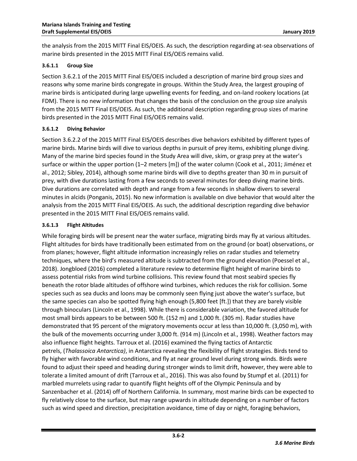the analysis from the 2015 MITT Final EIS/OEIS. As such, the description regarding at-sea observations of marine birds presented in the 2015 MITT Final EIS/OEIS remains valid.

#### <span id="page-5-0"></span>**3.6.1.1 Group Size**

Section 3.6.2.1 of the 2015 MITT Final EIS/OEIS included a description of marine bird group sizes and reasons why some marine birds congregate in groups. Within the Study Area, the largest grouping of marine birds is anticipated during large upwelling events for feeding, and on-land rookery locations (at FDM). There is no new information that changes the basis of the conclusion on the group size analysis from the 2015 MITT Final EIS/OEIS. As such, the additional description regarding group sizes of marine birds presented in the 2015 MITT Final EIS/OEIS remains valid.

#### <span id="page-5-1"></span>**3.6.1.2 Diving Behavior**

Section 3.6.2.2 of the 2015 MITT Final EIS/OEIS describes dive behaviors exhibited by different types of marine birds. Marine birds will dive to various depths in pursuit of prey items, exhibiting plunge diving. Many of the marine bird species found in the Study Area will dive, skim, or grasp prey at the water's surface or within the upper portion (1–2 meters [m]) of the water column [\(Cook et al., 2011;](#page-36-0) [Jiménez et](#page-37-0)  [al., 2012;](#page-37-0) [Sibley, 2014\)](#page-38-0), although some marine birds will dive to depths greater than 30 m in pursuit of prey, with dive durations lasting from a few seconds to several minutes for deep diving marine birds. Dive durations are correlated with depth and range from a few seconds in shallow divers to several minutes in alcids [\(Ponganis, 2015\)](#page-38-1). No new information is available on dive behavior that would alter the analysis from the 2015 MITT Final EIS/OEIS. As such, the additional description regarding dive behavior presented in the 2015 MITT Final EIS/OEIS remains valid.

#### <span id="page-5-2"></span>**3.6.1.3 Flight Altitudes**

While foraging birds will be present near the water surface, migrating birds may fly at various altitudes. Flight altitudes for birds have traditionally been estimated from on the ground (or boat) observations, or from planes; however, flight altitude information increasingly relies on radar studies and telemetry techniques, where the bird's measured altitude is subtracted from the ground elevation [\(Poessel et al.,](#page-38-2)  [2018\)](#page-38-2). Jongbloed [\(2016\)](#page-37-1) completed a literature review to determine flight height of marine birds to assess potential risks from wind turbine collisions. This review found that most seabird species fly beneath the rotor blade altitudes of offshore wind turbines, which reduces the risk for collision. Some species such as sea ducks and loons may be commonly seen flying just above the water's surface, but the same species can also be spotted flying high enough (5,800 feet [ft.]) that they are barely visible through binoculars [\(Lincoln et al., 1998\)](#page-37-2). While there is considerable variation, the favored altitude for most small birds appears to be between 500 ft. (152 m) and 1,000 ft. (305 m). Radar studies have demonstrated that 95 percent of the migratory movements occur at less than 10,000 ft. (3,050 m), with the bulk of the movements occurring under 3,000 ft. (914 m) [\(Lincoln et al., 1998\)](#page-37-2). Weather factors may also influence flight heights. Tarroux et al. (2016) examined the flying tactics of Antarctic petrels, (*Thalassoica Antarctica)*, in Antarctica revealing the flexibility of flight strategies. Birds tend to fly higher with favorable wind conditions, and fly at near ground level during strong winds. Birds were found to adjust their speed and heading during stronger winds to limit drift, however, they were able to tolerate a limited amount of drift [\(Tarroux et al., 2016\)](#page-38-3). This was also found by Stumpf et al. (2011) for marbled murrelets using radar to quantify flight heights off of the Olympic Peninsula and by Sanzenbacher et al. (2014) off of Northern California. In summary, most marine birds can be expected to fly relatively close to the surface, but may range upwards in altitude depending on a number of factors such as wind speed and direction, precipitation avoidance, time of day or night, foraging behaviors,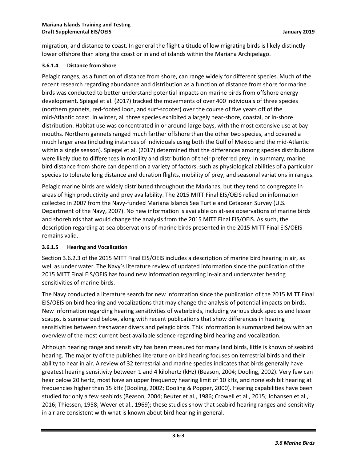migration, and distance to coast. In general the flight altitude of low migrating birds is likely distinctly lower offshore than along the coast or inland of islands within the Mariana Archipelago.

#### <span id="page-6-0"></span>**3.6.1.4 Distance from Shore**

Pelagic ranges, as a function of distance from shore, can range widely for different species. Much of the recent research regarding abundance and distribution as a function of distance from shore for marine birds was conducted to better understand potential impacts on marine birds from offshore energy development. Spiegel et al. (2017) tracked the movements of over 400 individuals of three species (northern gannets, red-footed loon, and surf-scooter) over the course of five years off of the mid-Atlantic coast. In winter, all three species exhibited a largely near-shore, coastal, or in-shore distribution. Habitat use was concentrated in or around large bays, with the most extensive use at bay mouths. Northern gannets ranged much farther offshore than the other two species, and covered a much larger area (including instances of individuals using both the Gulf of Mexico and the mid-Atlantic within a single season). Spiegel et al. (2017) determined that the differences among species distributions were likely due to differences in motility and distribution of their preferred prey. In summary, marine bird distance from shore can depend on a variety of factors, such as physiological abilities of a particular species to tolerate long distance and duration flights, mobility of prey, and seasonal variations in ranges.

Pelagic marine birds are widely distributed throughout the Marianas, but they tend to congregate in areas of high productivity and prey availability. The 2015 MITT Final EIS/OEIS relied on information collected in 2007 from the Navy-funded Mariana Islands Sea Turtle and Cetacean Survey [\(U.S.](#page-39-2)  [Department of the Navy, 2007\)](#page-39-2). No new information is available on at-sea observations of marine birds and shorebirds that would change the analysis from the 2015 MITT Final EIS/OEIS. As such, the description regarding at-sea observations of marine birds presented in the 2015 MITT Final EIS/OEIS remains valid.

# <span id="page-6-1"></span>**3.6.1.5 Hearing and Vocalization**

Section 3.6.2.3 of the 2015 MITT Final EIS/OEIS includes a description of marine bird hearing in air, as well as under water. The Navy's literature review of updated information since the publication of the 2015 MITT Final EIS/OEIS has found new information regarding in-air and underwater hearing sensitivities of marine birds.

The Navy conducted a literature search for new information since the publication of the 2015 MITT Final EIS/OEIS on bird hearing and vocalizations that may change the analysis of potential impacts on birds. New information regarding hearing sensitivities of waterbirds, including various duck species and lesser scaups, is summarized below, along with recent publications that show differences in hearing sensitivities between freshwater divers and pelagic birds. This information is summarized below with an overview of the most current best available science regarding bird hearing and vocalization.

Although hearing range and sensitivity has been measured for many land birds, little is known of seabird hearing. The majority of the published literature on bird hearing focuses on terrestrial birds and their ability to hear in air. A review of 32 terrestrial and marine species indicates that birds generally have greatest hearing sensitivity between 1 and 4 kilohertz (kHz) [\(Beason, 2004;](#page-36-1) [Dooling, 2002\)](#page-36-2). Very few can hear below 20 hertz, most have an upper frequency hearing limit of 10 kHz, and none exhibit hearing at frequencies higher than 15 kHz [\(Dooling, 2002;](#page-36-2) [Dooling & Popper, 2000\)](#page-36-3). Hearing capabilities have been studied for only a few seabirds [\(Beason, 2004;](#page-36-1) [Beuter et al., 1986;](#page-36-4) [Crowell et al., 2015;](#page-36-5) [Johansen et al.,](#page-37-3)  [2016;](#page-37-3) [Thiessen, 1958;](#page-38-4) [Wever et al., 1969\)](#page-39-3); these studies show that seabird hearing ranges and sensitivity in air are consistent with what is known about bird hearing in general.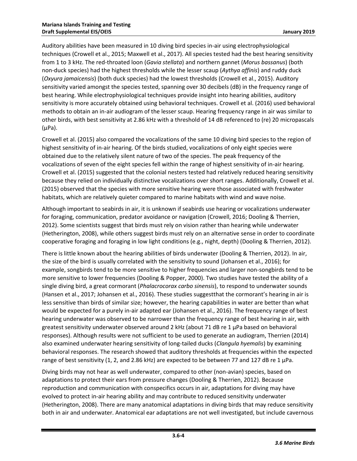Auditory abilities have been measured in 10 diving bird species in-air using electrophysiological techniques [\(Crowell et al., 2015;](#page-36-5) [Maxwell et al., 2017\)](#page-37-4). All species tested had the best hearing sensitivity from 1 to 3 kHz. The red-throated loon (*Gavia stellata*) and northern gannet (*Morus bassanus*) (both non-duck species) had the highest thresholds while the lesser scaup (*Aythya affinis*) and ruddy duck (*Oxyura jamaicensis*) (both duck species) had the lowest thresholds [\(Crowell et al., 2015\)](#page-36-5). Auditory sensitivity varied amongst the species tested, spanning over 30 decibels (dB) in the frequency range of best hearing. While electrophysiological techniques provide insight into hearing abilities, auditory sensitivity is more accurately obtained using behavioral techniques. Crowell et al. (2016) used behavioral methods to obtain an in-air audiogram of the lesser scaup. Hearing frequency range in air was similar to other birds, with best sensitivity at 2.86 kHz with a threshold of 14 dB referenced to (re) 20 micropascals  $(\mu Pa)$ .

Crowell et al. (2015) also compared the vocalizations of the same 10 diving bird species to the region of highest sensitivity of in-air hearing. Of the birds studied, vocalizations of only eight species were obtained due to the relatively silent nature of two of the species. The peak frequency of the vocalizations of seven of the eight species fell within the range of highest sensitivity of in-air hearing. Crowell et al. (2015) suggested that the colonial nesters tested had relatively reduced hearing sensitivity because they relied on individually distinctive vocalizations over short ranges. Additionally, Crowell et al. (2015) observed that the species with more sensitive hearing were those associated with freshwater habitats, which are relatively quieter compared to marine habitats with wind and wave noise.

Although important to seabirds in air, it is unknown if seabirds use hearing or vocalizations underwater for foraging, communication, predator avoidance or navigation [\(Crowell, 2016;](#page-36-6) [Dooling & Therrien,](#page-36-7)  [2012\)](#page-36-7). Some scientists suggest that birds must rely on vision rather than hearing while underwater [\(Hetherington, 2008\)](#page-37-5), while others suggest birds must rely on an alternative sense in order to coordinate cooperative foraging and foraging in low light conditions (e.g., night, depth) [\(Dooling & Therrien, 2012\)](#page-36-7).

There is little known about the hearing abilities of birds underwater [\(Dooling & Therrien, 2012\)](#page-36-7). In air, the size of the bird is usually correlated with the sensitivity to sound [\(Johansen et al., 2016\)](#page-37-3); for example, songbirds tend to be more sensitive to higher frequencies and larger non-songbirds tend to be more sensitive to lower frequencies [\(Dooling & Popper, 2000\)](#page-36-3). Two studies have tested the ability of a single diving bird, a great cormorant (*Phalacrocorax carbo sinensis*), to respond to underwater sounds [\(Hansen et al., 2017;](#page-37-6) [Johansen et al., 2016\)](#page-37-3). These studies suggestthat the cormorant's hearing in air is less sensitive than birds of similar size; however, the hearing capabilities in water are better than what would be expected for a purely in-air adapted ear [\(Johansen et al., 2016\)](#page-37-3). The frequency range of best hearing underwater was observed to be narrower than the frequency range of best hearing in air, with greatest sensitivity underwater observed around 2 kHz (about 71 dB re 1 µPa based on behavioral responses). Although results were not sufficient to be used to generate an audiogram, Therrien (2014) also examined underwater hearing sensitivity of long-tailed ducks (*Clangula hyemalis*) by examining behavioral responses. The research showed that auditory thresholds at frequencies within the expected range of best sensitivity (1, 2, and 2.86 kHz) are expected to be between 77 and 127 dB re 1  $\mu$ Pa.

Diving birds may not hear as well underwater, compared to other (non-avian) species, based on adaptations to protect their ears from pressure changes [\(Dooling & Therrien, 2012\)](#page-36-7). Because reproduction and communication with conspecifics occurs in air, adaptations for diving may have evolved to protect in-air hearing ability and may contribute to reduced sensitivity underwater [\(Hetherington, 2008\)](#page-37-5). There are many anatomical adaptations in diving birds that may reduce sensitivity both in air and underwater. Anatomical ear adaptations are not well investigated, but include cavernous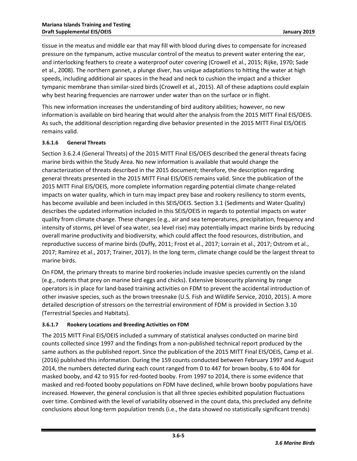tissue in the meatus and middle ear that may fill with blood during dives to compensate for increased pressure on the tympanum, active muscular control of the meatus to prevent water entering the ear, and interlocking feathers to create a waterproof outer covering [\(Crowell et al., 2015;](#page-36-5) [Rijke, 1970;](#page-38-5) [Sade](#page-38-6)  [et al., 2008\)](#page-38-6). The northern gannet, a plunge diver, has unique adaptations to hitting the water at high speeds, including additional air spaces in the head and neck to cushion the impact and a thicker tympanic membrane than similar-sized birds [\(Crowell et al., 2015\)](#page-36-5). All of these adaptions could explain why best hearing frequencies are narrower under water than on the surface or in flight.

This new information increases the understanding of bird auditory abilities; however, no new information is available on bird hearing that would alter the analysis from the 2015 MITT Final EIS/OEIS. As such, the additional description regarding dive behavior presented in the 2015 MITT Final EIS/OEIS remains valid.

#### <span id="page-8-0"></span>**3.6.1.6 General Threats**

Section 3.6.2.4 (General Threats) of the 2015 MITT Final EIS/OEIS described the general threats facing marine birds within the Study Area. No new information is available that would change the characterization of threats described in the 2015 document; therefore, the description regarding general threats presented in the 2015 MITT Final EIS/OEIS remains valid. Since the publication of the 2015 MITT Final EIS/OEIS, more complete information regarding potential climate change-related impacts on water quality, which in turn may impact prey base and rookery resiliency to storm events, has become available and been included in this SEIS/OEIS. Section 3.1 (Sediments and Water Quality) describes the updated information included in this SEIS/OEIS in regards to potential impacts on water quality from climate change. These changes (e.g., air and sea temperatures, precipitation, frequency and intensity of storms, pH level of sea water, sea level rise) may potentially impact marine birds by reducing overall marine productivity and biodiversity, which could affect the food resources, distribution, and reproductive success of marine birds [\(Duffy, 2011;](#page-36-8) [Frost et al., 2017;](#page-37-7) [Lorrain et al., 2017;](#page-37-8) [Ostrom et al.,](#page-37-9)  [2017;](#page-37-9) [Ramírez et al., 2017;](#page-38-7) [Trainer, 2017\)](#page-38-8). In the long term, climate change could be the largest threat to marine birds.

On FDM, the primary threats to marine bird rookeries include invasive species currently on the island (e.g., rodents that prey on marine bird eggs and chicks). Extensive biosecurity planning by range operators is in place for land-based training activities on FDM to prevent the accidental introduction of other invasive species, such as the brown treesnake [\(U.S. Fish and Wildlife Service, 2010,](#page-39-0) [2015\)](#page-39-1). A more detailed description of stressors on the terrestrial environment of FDM is provided in Section 3.10 (Terrestrial Species and Habitats).

# <span id="page-8-1"></span>**3.6.1.7 Rookery Locations and Breeding Activities on FDM**

The 2015 MITT Final EIS/OEIS included a summary of statistical analyses conducted on marine bird counts collected since 1997 and the findings from a non-published technical report produced by the same authors as the published report. Since the publication of the 2015 MITT Final EIS/OEIS, Camp et al. (2016) published this information. During the 159 counts conducted between February 1997 and August 2014, the numbers detected during each count ranged from 0 to 447 for brown booby, 6 to 404 for masked booby, and 42 to 915 for red-footed booby. From 1997 to 2014, there is some evidence that masked and red-footed booby populations on FDM have declined, while brown booby populations have increased. However, the general conclusion is that all three species exhibited population fluctuations over time. Combined with the level of variability observed in the count data, this precluded any definite conclusions about long-term population trends (i.e., the data showed no statistically significant trends)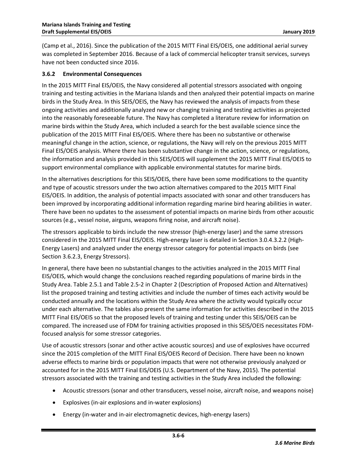[\(Camp et al., 2016\)](#page-36-9). Since the publication of the 2015 MITT Final EIS/OEIS, one additional aerial survey was completed in September 2016. Because of a lack of commercial helicopter transit services, surveys have not been conducted since 2016.

#### <span id="page-9-0"></span>**3.6.2 Environmental Consequences**

In the 2015 MITT Final EIS/OEIS, the Navy considered all potential stressors associated with ongoing training and testing activities in the Mariana Islands and then analyzed their potential impacts on marine birds in the Study Area. In this SEIS/OEIS, the Navy has reviewed the analysis of impacts from these ongoing activities and additionally analyzed new or changing training and testing activities as projected into the reasonably foreseeable future. The Navy has completed a literature review for information on marine birds within the Study Area, which included a search for the best available science since the publication of the 2015 MITT Final EIS/OEIS. Where there has been no substantive or otherwise meaningful change in the action, science, or regulations, the Navy will rely on the previous 2015 MITT Final EIS/OEIS analysis. Where there has been substantive change in the action, science, or regulations, the information and analysis provided in this SEIS/OEIS will supplement the 2015 MITT Final EIS/OEIS to support environmental compliance with applicable environmental statutes for marine birds.

In the alternatives descriptions for this SEIS/OEIS, there have been some modifications to the quantity and type of acoustic stressors under the two action alternatives compared to the 2015 MITT Final EIS/OEIS. In addition, the analysis of potential impacts associated with sonar and other transducers has been improved by incorporating additional information regarding marine bird hearing abilities in water. There have been no updates to the assessment of potential impacts on marine birds from other acoustic sources (e.g., vessel noise, airguns, weapons firing noise, and aircraft noise).

The stressors applicable to birds include the new stressor (high-energy laser) and the same stressors considered in the 2015 MITT Final EIS/OEIS. High-energy laser is detailed in Section 3.0.4.3.2.2 (High-Energy Lasers) and analyzed under the energy stressor category for potential impacts on birds (see Section 3.6.2.3, Energy Stressors).

In general, there have been no substantial changes to the activities analyzed in the 2015 MITT Final EIS/OEIS, which would change the conclusions reached regarding populations of marine birds in the Study Area. Table 2.5.1 and Table 2.5-2 in Chapter 2 (Description of Proposed Action and Alternatives) list the proposed training and testing activities and include the number of times each activity would be conducted annually and the locations within the Study Area where the activity would typically occur under each alternative. The tables also present the same information for activities described in the 2015 MITT Final EIS/OEIS so that the proposed levels of training and testing under this SEIS/OEIS can be compared. The increased use of FDM for training activities proposed in this SEIS/OEIS necessitates FDMfocused analysis for some stressor categories.

Use of acoustic stressors (sonar and other active acoustic sources) and use of explosives have occurred since the 2015 completion of the MITT Final EIS/OEIS Record of Decision. There have been no known adverse effects to marine birds or population impacts that were not otherwise previously analyzed or accounted for in the 2015 MITT Final EIS/OEIS [\(U.S. Department of the Navy, 2015\)](#page-39-4). The potential stressors associated with the training and testing activities in the Study Area included the following:

- Acoustic stressors (sonar and other transducers, vessel noise, aircraft noise, and weapons noise)
- Explosives (in-air explosions and in-water explosions)
- Energy (in-water and in-air electromagnetic devices, high-energy lasers)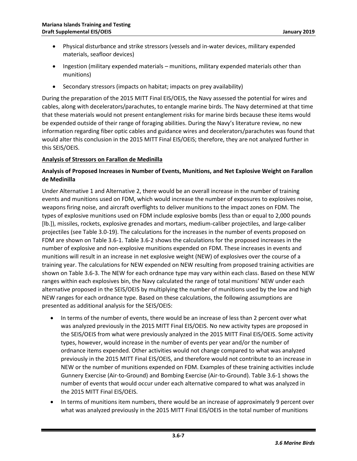- Physical disturbance and strike stressors (vessels and in-water devices, military expended materials, seafloor devices)
- Ingestion (military expended materials munitions, military expended materials other than munitions)
- Secondary stressors (impacts on habitat; impacts on prey availability)

During the preparation of the 2015 MITT Final EIS/OEIS, the Navy assessed the potential for wires and cables, along with decelerators/parachutes, to entangle marine birds. The Navy determined at that time that these materials would not present entanglement risks for marine birds because these items would be expended outside of their range of foraging abilities. During the Navy's literature review, no new information regarding fiber optic cables and guidance wires and decelerators/parachutes was found that would alter this conclusion in the 2015 MITT Final EIS/OEIS; therefore, they are not analyzed further in this SEIS/OEIS.

#### **Analysis of Stressors on Farallon de Medinilla**

## **Analysis of Proposed Increases in Number of Events, Munitions, and Net Explosive Weight on Farallon de Medinilla**

Under Alternative 1 and Alternative 2, there would be an overall increase in the number of training events and munitions used on FDM, which would increase the number of exposures to explosives noise, weapons firing noise, and aircraft overflights to deliver munitions to the impact zones on FDM. The types of explosive munitions used on FDM include explosive bombs (less than or equal to 2,000 pounds [lb.]), missiles, rockets, explosive grenades and mortars, medium-caliber projectiles, and large-caliber projectiles (see Table 3.0-19). The calculations for the increases in the number of events proposed on FDM are shown on Table 3.6-1. Table 3.6-2 shows the calculations for the proposed increases in the number of explosive and non-explosive munitions expended on FDM. These increases in events and munitions will result in an increase in net explosive weight (NEW) of explosives over the course of a training year. The calculations for NEW expended on NEW resulting from proposed training activities are shown on Table 3.6-3. The NEW for each ordnance type may vary within each class. Based on these NEW ranges within each explosives bin, the Navy calculated the range of total munitions' NEW under each alternative proposed in the SEIS/OEIS by multiplying the number of munitions used by the low and high NEW ranges for each ordnance type. Based on these calculations, the following assumptions are presented as additional analysis for the SEIS/OEIS:

- In terms of the number of events, there would be an increase of less than 2 percent over what was analyzed previously in the 2015 MITT Final EIS/OEIS. No new activity types are proposed in the SEIS/OEIS from what were previously analyzed in the 2015 MITT Final EIS/OEIS. Some activity types, however, would increase in the number of events per year and/or the number of ordnance items expended. Other activities would not change compared to what was analyzed previously in the 2015 MITT Final EIS/OEIS, and therefore would not contribute to an increase in NEW or the number of munitions expended on FDM. Examples of these training activities include Gunnery Exercise (Air-to-Ground) and Bombing Exercise (Air-to-Ground). Table 3.6-1 shows the number of events that would occur under each alternative compared to what was analyzed in the 2015 MITT Final EIS/OEIS.
- In terms of munitions item numbers, there would be an increase of approximately 9 percent over what was analyzed previously in the 2015 MITT Final EIS/OEIS in the total number of munitions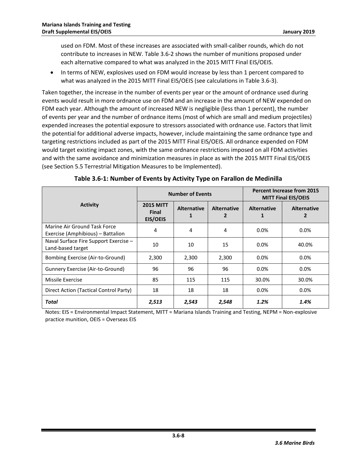used on FDM. Most of these increases are associated with small-caliber rounds, which do not contribute to increases in NEW. Table 3.6-2 shows the number of munitions proposed under each alternative compared to what was analyzed in the 2015 MITT Final EIS/OEIS.

• In terms of NEW, explosives used on FDM would increase by less than 1 percent compared to what was analyzed in the 2015 MITT Final EIS/OEIS (see calculations in Table 3.6-3).

Taken together, the increase in the number of events per year or the amount of ordnance used during events would result in more ordnance use on FDM and an increase in the amount of NEW expended on FDM each year. Although the amount of increased NEW is negligible (less than 1 percent), the number of events per year and the number of ordnance items (most of which are small and medium projectiles) expended increases the potential exposure to stressors associated with ordnance use. Factors that limit the potential for additional adverse impacts, however, include maintaining the same ordnance type and targeting restrictions included as part of the 2015 MITT Final EIS/OEIS. All ordnance expended on FDM would target existing impact zones, with the same ordnance restrictions imposed on all FDM activities and with the same avoidance and minimization measures in place as with the 2015 MITT Final EIS/OEIS (see Section 5.5 Terrestrial Mitigation Measures to be Implemented).

<span id="page-11-0"></span>

|                                                                   |                                       | <b>Number of Events</b> | <b>Percent Increase from 2015</b><br><b>MITT Final EIS/OEIS</b> |                    |                                      |
|-------------------------------------------------------------------|---------------------------------------|-------------------------|-----------------------------------------------------------------|--------------------|--------------------------------------|
| <b>Activity</b>                                                   | <b>2015 MITT</b><br>Final<br>EIS/OEIS | <b>Alternative</b><br>1 | <b>Alternative</b><br>2                                         | <b>Alternative</b> | <b>Alternative</b><br>$\overline{2}$ |
| Marine Air Ground Task Force<br>Exercise (Amphibious) – Battalion | 4                                     | 4                       | 4                                                               | $0.0\%$            | $0.0\%$                              |
| Naval Surface Fire Support Exercise -<br>Land-based target        | 10                                    | 10                      | 15                                                              | 0.0%               | 40.0%                                |
| Bombing Exercise (Air-to-Ground)                                  | 2,300                                 | 2,300                   | 2,300                                                           | $0.0\%$            | $0.0\%$                              |
| Gunnery Exercise (Air-to-Ground)                                  | 96                                    | 96                      | 96                                                              | $0.0\%$            | $0.0\%$                              |
| Missile Exercise                                                  | 85                                    | 115                     | 115                                                             | 30.0%              | 30.0%                                |
| Direct Action (Tactical Control Party)                            | 18                                    | 18                      | 18                                                              | $0.0\%$            | 0.0%                                 |
| Total                                                             | 2,513                                 | 2,543                   | 2,548                                                           | 1.2%               | 1.4%                                 |

**Table 3.6-1: Number of Events by Activity Type on Farallon de Medinilla**

Notes: EIS = Environmental Impact Statement, MITT = Mariana Islands Training and Testing, NEPM = Non-explosive practice munition, OEIS = Overseas EIS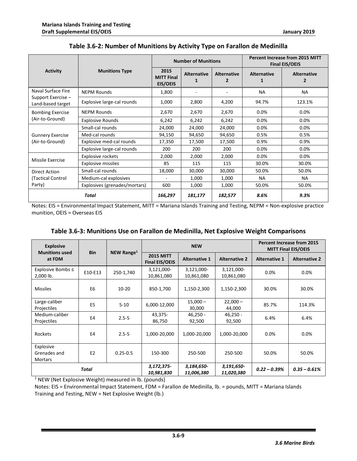<span id="page-12-0"></span>

|                                         |                               |                                       | <b>Number of Munitions</b> |                         | <b>Percent Increase from 2015 MITT</b><br><b>Final EIS/OEIS</b> |                    |
|-----------------------------------------|-------------------------------|---------------------------------------|----------------------------|-------------------------|-----------------------------------------------------------------|--------------------|
| <b>Activity</b>                         | <b>Munitions Type</b>         | 2015<br><b>MITT Final</b><br>EIS/OEIS | <b>Alternative</b>         | <b>Alternative</b><br>2 | <b>Alternative</b>                                              | <b>Alternative</b> |
| Naval Surface Fire                      | <b>NEPM Rounds</b>            | 1,800                                 |                            |                         | <b>NA</b>                                                       | <b>NA</b>          |
| Support Exercise -<br>Land-based target | Explosive large-cal rounds    | 1,000                                 | 2,800                      | 4,200                   | 94.7%                                                           | 123.1%             |
| <b>Bombing Exercise</b>                 | <b>NEPM Rounds</b>            | 2,670                                 | 2,670                      | 2,670                   | 0.0%                                                            | 0.0%               |
| (Air-to-Ground)                         | <b>Explosive Rounds</b>       | 6,242                                 | 6,242                      | 6,242                   | 0.0%                                                            | 0.0%               |
|                                         | Small-cal rounds              | 24,000                                | 24,000                     | 24,000                  | 0.0%                                                            | 0.0%               |
| <b>Gunnery Exercise</b>                 | Med-cal rounds                | 94,150                                | 94,650                     | 94,650                  | 0.5%                                                            | 0.5%               |
| (Air-to-Ground)                         | Explosive med-cal rounds      | 17,350                                | 17,500                     | 17,500                  | 0.9%                                                            | 0.9%               |
|                                         | Explosive large-cal rounds    | 200                                   | 200                        | 200                     | 0.0%                                                            | 0.0%               |
|                                         | Explosive rockets             | 2,000                                 | 2,000                      | 2,000                   | 0.0%                                                            | 0.0%               |
| Missile Exercise                        | <b>Explosive missiles</b>     | 85                                    | 115                        | 115                     | 30.0%                                                           | 30.0%              |
| Direct Action                           | Small-cal rounds              | 18,000                                | 30,000                     | 30,000                  | 50.0%                                                           | 50.0%              |
| (Tactical Control                       | Medium-cal explosives         | $\overline{\phantom{a}}$              | 1,000                      | 1,000                   | NA.                                                             | <b>NA</b>          |
| Party)                                  | Explosives (grenades/mortars) | 600                                   | 1,000                      | 1,000                   | 50.0%                                                           | 50.0%              |
|                                         | 166,297                       | 181,177                               | 182,577                    | 8.6%                    | 9.3%                                                            |                    |

**Table 3.6-2: Number of Munitions by Activity Type on Farallon de Medinilla**

Notes: EIS = Environmental Impact Statement, MITT = Mariana Islands Training and Testing, NEPM = Non-explosive practice munition, OEIS = Overseas EIS

<span id="page-12-1"></span>

| Table 3.6-3: Munitions Use on Farallon de Medinilla, Net Explosive Weight Comparisons |  |
|---------------------------------------------------------------------------------------|--|
|---------------------------------------------------------------------------------------|--|

| <b>Explosive</b><br><b>Munitions used</b>   | <b>Bin</b>     | NEW Range $1$ |                                           | <b>NEW</b>               | <b>Percent Increase from 2015</b><br><b>MITT Final EIS/OEIS</b> |                      |                      |
|---------------------------------------------|----------------|---------------|-------------------------------------------|--------------------------|-----------------------------------------------------------------|----------------------|----------------------|
| at FDM                                      |                |               | <b>2015 MITT</b><br><b>Final EIS/OEIS</b> | <b>Alternative 1</b>     | <b>Alternative 2</b>                                            | <b>Alternative 1</b> | <b>Alternative 2</b> |
| Explosive Bombs $\leq$<br>2,000 lb.         | E10-E13        | 250-1,740     | 3,121,000-<br>10,861,080                  | 3,121,000-<br>10,861,080 | 3,121,000-<br>10,861,080                                        | 0.0%                 | 0.0%                 |
| <b>Missiles</b>                             | E <sub>6</sub> | $10 - 20$     | 850-1,700                                 | 1,150-2,300              | 1,150-2,300                                                     | 30.0%                | 30.0%                |
| Large-caliber<br>Projectiles                | E <sub>5</sub> | $5 - 10$      | 6,000-12,000                              | $15,000 -$<br>30,000     | $22,000 -$<br>44,000                                            | 85.7%                | 114.3%               |
| Medium-caliber<br>Projectiles               | E4             | $2.5 - 5$     | 43,375-<br>86,750                         | $46,250 -$<br>92,500     | $46,250 -$<br>92,500                                            | 6.4%                 | 6.4%                 |
| Rockets                                     | E4             | $2.5 - 5$     | 1,000-20,000                              | 1,000-20,000             | 1,000-20,000                                                    | 0.0%                 | 0.0%                 |
| Explosive<br>Grenades and<br><b>Mortars</b> | E <sub>2</sub> | $0.25 - 0.5$  | 150-300                                   | 250-500                  | 250-500                                                         | 50.0%                | 50.0%                |
| Total                                       |                |               | 3,172,375-<br>10,981,830                  | 3,184,650-<br>11,006,380 | 3,191,650-<br><i><b>11,020,380</b></i>                          | $0.22 - 0.39%$       | $0.35 - 0.61%$       |

<sup>1</sup> NEW (Net Explosive Weight) measured in lb. (pounds)

Notes: EIS = Environmental Impact Statement, FDM = Farallon de Medinilla, lb. = pounds, MITT = Mariana Islands Training and Testing, NEW = Net Explosive Weight (lb.)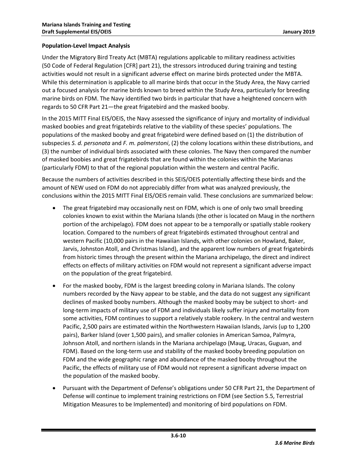#### **Population-Level Impact Analysis**

Under the Migratory Bird Treaty Act (MBTA) regulations applicable to military readiness activities (50 Code of Federal Regulation [CFR] part 21), the stressors introduced during training and testing activities would not result in a significant adverse effect on marine birds protected under the MBTA. While this determination is applicable to all marine birds that occur in the Study Area, the Navy carried out a focused analysis for marine birds known to breed within the Study Area, particularly for breeding marine birds on FDM. The Navy identified two birds in particular that have a heightened concern with regards to 50 CFR Part 21—the great frigatebird and the masked booby.

In the 2015 MITT Final EIS/OEIS, the Navy assessed the significance of injury and mortality of individual masked boobies and great frigatebirds relative to the viability of these species' populations. The populations of the masked booby and great frigatebird were defined based on (1) the distribution of subspecies *S. d. personata* and *F. m. palmerstoni*, (2) the colony locations within these distributions, and (3) the number of individual birds associated with these colonies. The Navy then compared the number of masked boobies and great frigatebirds that are found within the colonies within the Marianas (particularly FDM) to that of the regional population within the western and central Pacific.

Because the numbers of activities described in this SEIS/OEIS potentially affecting these birds and the amount of NEW used on FDM do not appreciably differ from what was analyzed previously, the conclusions within the 2015 MITT Final EIS/OEIS remain valid. These conclusions are summarized below:

- The great frigatebird may occasionally nest on FDM, which is one of only two small breeding colonies known to exist within the Mariana Islands (the other is located on Maug in the northern portion of the archipelago). FDM does not appear to be a temporally or spatially stable rookery location. Compared to the numbers of great frigatebirds estimated throughout central and western Pacific (10,000 pairs in the Hawaiian Islands, with other colonies on Howland, Baker, Jarvis, Johnston Atoll, and Christmas Island), and the apparent low numbers of great frigatebirds from historic times through the present within the Mariana archipelago, the direct and indirect effects on effects of military activities on FDM would not represent a significant adverse impact on the population of the great frigatebird.
- For the masked booby, FDM is the largest breeding colony in Mariana Islands. The colony numbers recorded by the Navy appear to be stable, and the data do not suggest any significant declines of masked booby numbers. Although the masked booby may be subject to short- and long-term impacts of military use of FDM and individuals likely suffer injury and mortality from some activities, FDM continues to support a relatively stable rookery. In the central and western Pacific, 2,500 pairs are estimated within the Northwestern Hawaiian Islands, Jarvis (up to 1,200 pairs), Barker Island (over 1,500 pairs), and smaller colonies in American Samoa, Palmyra, Johnson Atoll, and northern islands in the Mariana archipelago (Maug, Uracas, Guguan, and FDM). Based on the long-term use and stability of the masked booby breeding population on FDM and the wide geographic range and abundance of the masked booby throughout the Pacific, the effects of military use of FDM would not represent a significant adverse impact on the population of the masked booby.
- Pursuant with the Department of Defense's obligations under 50 CFR Part 21, the Department of Defense will continue to implement training restrictions on FDM (see Section 5.5, Terrestrial Mitigation Measures to be Implemented) and monitoring of bird populations on FDM.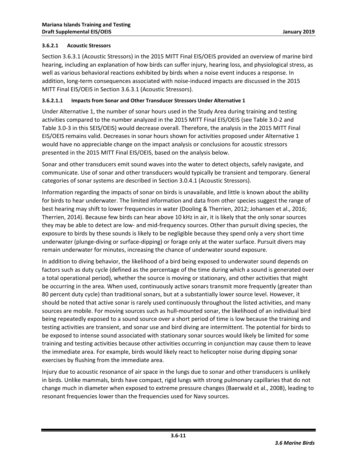#### <span id="page-14-0"></span>**3.6.2.1 Acoustic Stressors**

Section 3.6.3.1 (Acoustic Stressors) in the 2015 MITT Final EIS/OEIS provided an overview of marine bird hearing, including an explanation of how birds can suffer injury, hearing loss, and physiological stress, as well as various behavioral reactions exhibited by birds when a noise event induces a response. In addition, long-term consequences associated with noise-induced impacts are discussed in the 2015 MITT Final EIS/OEIS in Section 3.6.3.1 (Acoustic Stressors).

#### **3.6.2.1.1 Impacts from Sonar and Other Transducer Stressors Under Alternative 1**

Under Alternative 1, the number of sonar hours used in the Study Area during training and testing activities compared to the number analyzed in the 2015 MITT Final EIS/OEIS (see Table 3.0-2 and Table 3.0-3 in this SEIS/OEIS) would decrease overall. Therefore, the analysis in the 2015 MITT Final EIS/OEIS remains valid. Decreases in sonar hours shown for activities proposed under Alternative 1 would have no appreciable change on the impact analysis or conclusions for acoustic stressors presented in the 2015 MITT Final EIS/OEIS, based on the analysis below.

Sonar and other transducers emit sound waves into the water to detect objects, safely navigate, and communicate. Use of sonar and other transducers would typically be transient and temporary. General categories of sonar systems are described in Section 3.0.4.1 (Acoustic Stressors).

Information regarding the impacts of sonar on birds is unavailable, and little is known about the ability for birds to hear underwater. The limited information and data from other species suggest the range of best hearing may shift to lower frequencies in water [\(Dooling & Therrien, 2012;](#page-36-7) [Johansen et al., 2016;](#page-37-3) [Therrien, 2014\)](#page-38-9). Because few birds can hear above 10 kHz in air, it is likely that the only sonar sources they may be able to detect are low- and mid-frequency sources. Other than pursuit diving species, the exposure to birds by these sounds is likely to be negligible because they spend only a very short time underwater (plunge-diving or surface-dipping) or forage only at the water surface. Pursuit divers may remain underwater for minutes, increasing the chance of underwater sound exposure.

In addition to diving behavior, the likelihood of a bird being exposed to underwater sound depends on factors such as duty cycle (defined as the percentage of the time during which a sound is generated over a total operational period), whether the source is moving or stationary, and other activities that might be occurring in the area. When used, continuously active sonars transmit more frequently (greater than 80 percent duty cycle) than traditional sonars, but at a substantially lower source level. However, it should be noted that active sonar is rarely used continuously throughout the listed activities, and many sources are mobile. For moving sources such as hull-mounted sonar, the likelihood of an individual bird being repeatedly exposed to a sound source over a short period of time is low because the training and testing activities are transient, and sonar use and bird diving are intermittent. The potential for birds to be exposed to intense sound associated with stationary sonar sources would likely be limited for some training and testing activities because other activities occurring in conjunction may cause them to leave the immediate area. For example, birds would likely react to helicopter noise during dipping sonar exercises by flushing from the immediate area.

Injury due to acoustic resonance of air space in the lungs due to sonar and other transducers is unlikely in birds. Unlike mammals, birds have compact, rigid lungs with strong pulmonary capillaries that do not change much in diameter when exposed to extreme pressure changes [\(Baerwald et al., 2008\)](#page-36-10), leading to resonant frequencies lower than the frequencies used for Navy sources.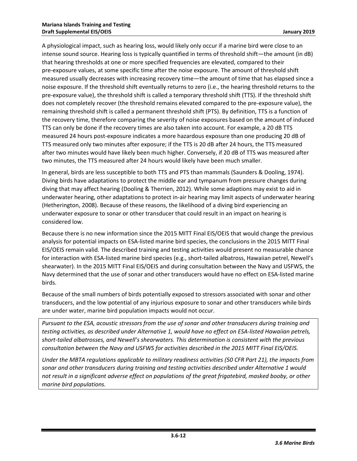A physiological impact, such as hearing loss, would likely only occur if a marine bird were close to an intense sound source. Hearing loss is typically quantified in terms of threshold shift—the amount (in dB) that hearing thresholds at one or more specified frequencies are elevated, compared to their pre-exposure values, at some specific time after the noise exposure. The amount of threshold shift measured usually decreases with increasing recovery time—the amount of time that has elapsed since a noise exposure. If the threshold shift eventually returns to zero (i.e., the hearing threshold returns to the pre-exposure value), the threshold shift is called a temporary threshold shift (TTS). If the threshold shift does not completely recover (the threshold remains elevated compared to the pre-exposure value), the remaining threshold shift is called a permanent threshold shift (PTS). By definition, TTS is a function of the recovery time, therefore comparing the severity of noise exposures based on the amount of induced TTS can only be done if the recovery times are also taken into account. For example, a 20 dB TTS measured 24 hours post-exposure indicates a more hazardous exposure than one producing 20 dB of TTS measured only two minutes after exposure; if the TTS is 20 dB after 24 hours, the TTS measured after two minutes would have likely been much higher. Conversely, if 20 dB of TTS was measured after two minutes, the TTS measured after 24 hours would likely have been much smaller.

In general, birds are less susceptible to both TTS and PTS than mammals [\(Saunders & Dooling, 1974\)](#page-38-10). Diving birds have adaptations to protect the middle ear and tympanum from pressure changes during diving that may affect hearing [\(Dooling & Therrien, 2012\)](#page-36-7). While some adaptions may exist to aid in underwater hearing, other adaptations to protect in-air hearing may limit aspects of underwater hearing [\(Hetherington, 2008\)](#page-37-5). Because of these reasons, the likelihood of a diving bird experiencing an underwater exposure to sonar or other transducer that could result in an impact on hearing is considered low.

Because there is no new information since the 2015 MITT Final EIS/OEIS that would change the previous analysis for potential impacts on ESA-listed marine bird species, the conclusions in the 2015 MITT Final EIS/OEIS remain valid. The described training and testing activities would present no measurable chance for interaction with ESA-listed marine bird species (e.g., short-tailed albatross, Hawaiian petrel, Newell's shearwater). In the 2015 MITT Final EIS/OEIS and during consultation between the Navy and USFWS, the Navy determined that the use of sonar and other transducers would have no effect on ESA-listed marine birds.

Because of the small numbers of birds potentially exposed to stressors associated with sonar and other transducers, and the low potential of any injurious exposure to sonar and other transducers while birds are under water, marine bird population impacts would not occur.

*Pursuant to the ESA, acoustic stressors from the use of sonar and other transducers during training and testing activities, as described under Alternative 1, would have no effect on ESA-listed Hawaiian petrels, short-tailed albatrosses, and Newell's shearwaters. This determination is consistent with the previous consultation between the Navy and USFWS for activities described in the 2015 MITT Final EIS/OEIS.*

*Under the MBTA regulations applicable to military readiness activities (50 CFR Part 21), the impacts from sonar and other transducers during training and testing activities described under Alternative 1 would not result in a significant adverse effect on populations of the great frigatebird, masked booby, or other marine bird populations.*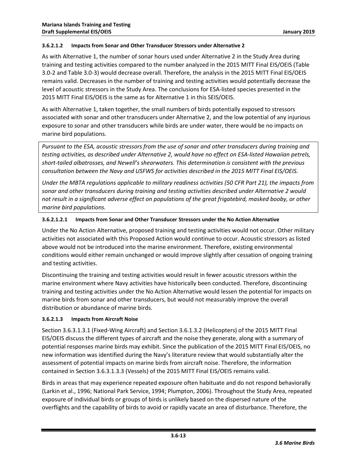#### **3.6.2.1.2 Impacts from Sonar and Other Transducer Stressors under Alternative 2**

As with Alternative 1, the number of sonar hours used under Alternative 2 in the Study Area during training and testing activities compared to the number analyzed in the 2015 MITT Final EIS/OEIS (Table 3.0-2 and Table 3.0-3) would decrease overall. Therefore, the analysis in the 2015 MITT Final EIS/OEIS remains valid. Decreases in the number of training and testing activities would potentially decrease the level of acoustic stressors in the Study Area. The conclusions for ESA-listed species presented in the 2015 MITT Final EIS/OEIS is the same as for Alternative 1 in this SEIS/OEIS.

As with Alternative 1, taken together, the small numbers of birds potentially exposed to stressors associated with sonar and other transducers under Alternative 2, and the low potential of any injurious exposure to sonar and other transducers while birds are under water, there would be no impacts on marine bird populations.

*Pursuant to the ESA, acoustic stressors from the use of sonar and other transducers during training and testing activities, as described under Alternative 2, would have no effect on ESA-listed Hawaiian petrels, short-tailed albatrosses, and Newell's shearwaters. This determination is consistent with the previous consultation between the Navy and USFWS for activities described in the 2015 MITT Final EIS/OEIS.*

*Under the MBTA regulations applicable to military readiness activities (50 CFR Part 21), the impacts from sonar and other transducers during training and testing activities described under Alternative 2 would not result in a significant adverse effect on populations of the great frigatebird, masked booby, or other marine bird populations.*

#### **3.6.2.1.2.1 Impacts from Sonar and Other Transducer Stressors under the No Action Alternative**

Under the No Action Alternative, proposed training and testing activities would not occur. Other military activities not associated with this Proposed Action would continue to occur. Acoustic stressors as listed above would not be introduced into the marine environment. Therefore, existing environmental conditions would either remain unchanged or would improve slightly after cessation of ongoing training and testing activities.

Discontinuing the training and testing activities would result in fewer acoustic stressors within the marine environment where Navy activities have historically been conducted. Therefore, discontinuing training and testing activities under the No Action Alternative would lessen the potential for impacts on marine birds from sonar and other transducers, but would not measurably improve the overall distribution or abundance of marine birds.

#### **3.6.2.1.3 Impacts from Aircraft Noise**

Section 3.6.3.1.3.1 (Fixed-Wing Aircraft) and Section 3.6.1.3.2 (Helicopters) of the 2015 MITT Final EIS/OEIS discuss the different types of aircraft and the noise they generate, along with a summary of potential responses marine birds may exhibit. Since the publication of the 2015 MITT Final EIS/OEIS, no new information was identified during the Navy's literature review that would substantially alter the assessment of potential impacts on marine birds from aircraft noise. Therefore, the information contained in Section 3.6.3.1.3.3 (Vessels) of the 2015 MITT Final EIS/OEIS remains valid.

Birds in areas that may experience repeated exposure often habituate and do not respond behaviorally [\(Larkin et al., 1996;](#page-37-10) [National Park Service, 1994;](#page-37-11) [Plumpton, 2006\)](#page-38-11). Throughout the Study Area, repeated exposure of individual birds or groups of birds is unlikely based on the dispersed nature of the overflights and the capability of birds to avoid or rapidly vacate an area of disturbance. Therefore, the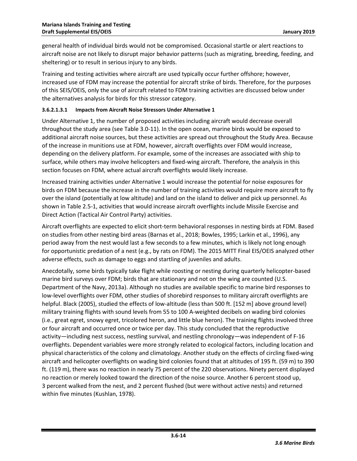general health of individual birds would not be compromised. Occasional startle or alert reactions to aircraft noise are not likely to disrupt major behavior patterns (such as migrating, breeding, feeding, and sheltering) or to result in serious injury to any birds.

Training and testing activities where aircraft are used typically occur further offshore; however, increased use of FDM may increase the potential for aircraft strike of birds. Therefore, for the purposes of this SEIS/OEIS, only the use of aircraft related to FDM training activities are discussed below under the alternatives analysis for birds for this stressor category.

#### **3.6.2.1.3.1 Impacts from Aircraft Noise Stressors Under Alternative 1**

Under Alternative 1, the number of proposed activities including aircraft would decrease overall throughout the study area (see Table 3.0-11). In the open ocean, marine birds would be exposed to additional aircraft noise sources, but these activities are spread out throughout the Study Area. Because of the increase in munitions use at FDM, however, aircraft overflights over FDM would increase, depending on the delivery platform. For example, some of the increases are associated with ship to surface, while others may involve helicopters and fixed-wing aircraft. Therefore, the analysis in this section focuses on FDM, where actual aircraft overflights would likely increase.

Increased training activities under Alternative 1 would increase the potential for noise exposures for birds on FDM because the increase in the number of training activities would require more aircraft to fly over the island (potentially at low altitude) and land on the island to deliver and pick up personnel. As shown in Table 2.5-1, activities that would increase aircraft overflights include Missile Exercise and Direct Action (Tactical Air Control Party) activities.

Aircraft overflights are expected to elicit short-term behavioral responses in nesting birds at FDM. Based on studies from other nesting bird areas [\(Barnas et al., 2018;](#page-36-11) [Bowles, 1995;](#page-36-12) [Larkin et al., 1996\)](#page-37-10), any period away from the nest would last a few seconds to a few minutes, which is likely not long enough for opportunistic predation of a nest (e.g., by rats on FDM). The 2015 MITT Final EIS/OEIS analyzed other adverse effects, such as damage to eggs and startling of juveniles and adults.

Anecdotally, some birds typically take flight while roosting or nesting during quarterly helicopter-based marine bird surveys over FDM; birds that are stationary and not on the wing are counted [\(U.S.](#page-39-5)  [Department of the Navy, 2013a\)](#page-39-5). Although no studies are available specific to marine bird responses to low-level overflights over FDM, other studies of shorebird responses to military aircraft overflights are helpful. Black (2005), studied the effects of low-altitude (less than 500 ft. [152 m] above ground level) military training flights with sound levels from 55 to 100 A-weighted decibels on wading bird colonies (i.e., great egret, snowy egret, tricolored heron, and little blue heron). The training flights involved three or four aircraft and occurred once or twice per day. This study concluded that the reproductive activity—including nest success, nestling survival, and nestling chronology—was independent of F-16 overflights. Dependent variables were more strongly related to ecological factors, including location and physical characteristics of the colony and climatology. Another study on the effects of circling fixed-wing aircraft and helicopter overflights on wading bird colonies found that at altitudes of 195 ft. (59 m) to 390 ft. (119 m), there was no reaction in nearly 75 percent of the 220 observations. Ninety percent displayed no reaction or merely looked toward the direction of the noise source. Another 6 percent stood up, 3 percent walked from the nest, and 2 percent flushed (but were without active nests) and returned within five minutes [\(Kushlan, 1978\)](#page-37-12).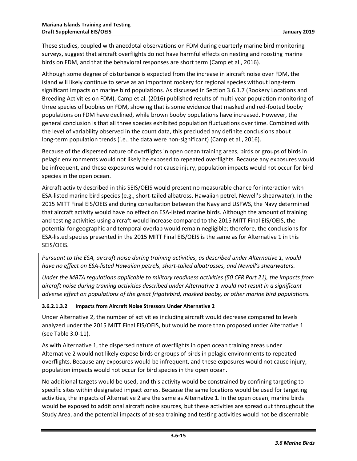These studies, coupled with anecdotal observations on FDM during quarterly marine bird monitoring surveys, suggest that aircraft overflights do not have harmful effects on nesting and roosting marine birds on FDM, and that the behavioral responses are short term [\(Camp et al., 2016\)](#page-36-9).

Although some degree of disturbance is expected from the increase in aircraft noise over FDM, the island will likely continue to serve as an important rookery for regional species without long-term significant impacts on marine bird populations. As discussed in Section 3.6.1.7 (Rookery Locations and Breeding Activities on FDM), Camp et al. (2016) published results of multi-year population monitoring of three species of boobies on FDM, showing that is some evidence that masked and red-footed booby populations on FDM have declined, while brown booby populations have increased. However, the general conclusion is that all three species exhibited population fluctuations over time. Combined with the level of variability observed in the count data, this precluded any definite conclusions about long-term population trends (i.e., the data were non-significant) [\(Camp et al., 2016\)](#page-36-9).

Because of the dispersed nature of overflights in open ocean training areas, birds or groups of birds in pelagic environments would not likely be exposed to repeated overflights. Because any exposures would be infrequent, and these exposures would not cause injury, population impacts would not occur for bird species in the open ocean.

Aircraft activity described in this SEIS/OEIS would present no measurable chance for interaction with ESA-listed marine bird species (e.g., short-tailed albatross, Hawaiian petrel, Newell's shearwater). In the 2015 MITT Final EIS/OEIS and during consultation between the Navy and USFWS, the Navy determined that aircraft activity would have no effect on ESA-listed marine birds. Although the amount of training and testing activities using aircraft would increase compared to the 2015 MITT Final EIS/OEIS, the potential for geographic and temporal overlap would remain negligible; therefore, the conclusions for ESA-listed species presented in the 2015 MITT Final EIS/OEIS is the same as for Alternative 1 in this SEIS/OEIS.

*Pursuant to the ESA, aircraft noise during training activities, as described under Alternative 1, would have no effect on ESA-listed Hawaiian petrels, short-tailed albatrosses, and Newell's shearwaters.* 

*Under the MBTA regulations applicable to military readiness activities (50 CFR Part 21), the impacts from aircraft noise during training activities described under Alternative 1 would not result in a significant adverse effect on populations of the great frigatebird, masked booby, or other marine bird populations.*

#### **3.6.2.1.3.2 Impacts from Aircraft Noise Stressors Under Alternative 2**

Under Alternative 2, the number of activities including aircraft would decrease compared to levels analyzed under the 2015 MITT Final EIS/OEIS, but would be more than proposed under Alternative 1 (see Table 3.0-11).

As with Alternative 1, the dispersed nature of overflights in open ocean training areas under Alternative 2 would not likely expose birds or groups of birds in pelagic environments to repeated overflights. Because any exposures would be infrequent, and these exposures would not cause injury, population impacts would not occur for bird species in the open ocean.

No additional targets would be used, and this activity would be constrained by confining targeting to specific sites within designated impact zones. Because the same locations would be used for targeting activities, the impacts of Alternative 2 are the same as Alternative 1. In the open ocean, marine birds would be exposed to additional aircraft noise sources, but these activities are spread out throughout the Study Area, and the potential impacts of at-sea training and testing activities would not be discernable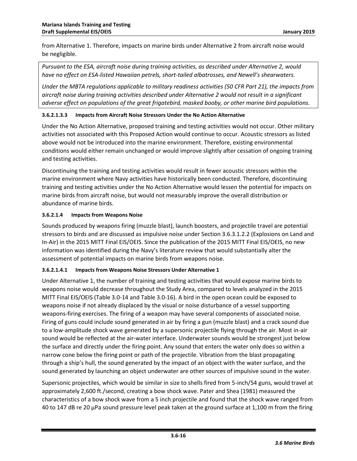from Alternative 1. Therefore, impacts on marine birds under Alternative 2 from aircraft noise would be negligible.

*Pursuant to the ESA, aircraft noise during training activities, as described under Alternative 2, would have no effect on ESA-listed Hawaiian petrels, short-tailed albatrosses, and Newell's shearwaters.* 

*Under the MBTA regulations applicable to military readiness activities (50 CFR Part 21), the impacts from aircraft noise during training activities described under Alternative 2 would not result in a significant adverse effect on populations of the great frigatebird, masked booby, or other marine bird populations.*

## **3.6.2.1.3.3 Impacts from Aircraft Noise Stressors Under the No Action Alternative**

Under the No Action Alternative, proposed training and testing activities would not occur. Other military activities not associated with this Proposed Action would continue to occur. Acoustic stressors as listed above would not be introduced into the marine environment. Therefore, existing environmental conditions would either remain unchanged or would improve slightly after cessation of ongoing training and testing activities.

Discontinuing the training and testing activities would result in fewer acoustic stressors within the marine environment where Navy activities have historically been conducted. Therefore, discontinuing training and testing activities under the No Action Alternative would lessen the potential for impacts on marine birds from aircraft noise, but would not measurably improve the overall distribution or abundance of marine birds.

#### **3.6.2.1.4 Impacts from Weapons Noise**

Sounds produced by weapons firing (muzzle blast), launch boosters, and projectile travel are potential stressors to birds and are discussed as impulsive noise under Section 3.6.3.1.2.2 (Explosions on Land and In-Air) in the 2015 MITT Final EIS/OEIS. Since the publication of the 2015 MITT Final EIS/OEIS, no new information was identified during the Navy's literature review that would substantially alter the assessment of potential impacts on marine birds from weapons noise.

#### **3.6.2.1.4.1 Impacts from Weapons Noise Stressors Under Alternative 1**

Under Alternative 1, the number of training and testing activities that would expose marine birds to weapons noise would decrease throughout the Study Area, compared to levels analyzed in the 2015 MITT Final EIS/OEIS (Table 3.0-14 and Table 3.0-16). A bird in the open ocean could be exposed to weapons noise if not already displaced by the visual or noise disturbance of a vessel supporting weapons-firing exercises. The firing of a weapon may have several components of associated noise. Firing of guns could include sound generated in air by firing a gun (muzzle blast) and a crack sound due to a low-amplitude shock wave generated by a supersonic projectile flying through the air. Most in-air sound would be reflected at the air-water interface. Underwater sounds would be strongest just below the surface and directly under the firing point. Any sound that enters the water only does so within a narrow cone below the firing point or path of the projectile. Vibration from the blast propagating through a ship's hull, the sound generated by the impact of an object with the water surface, and the sound generated by launching an object underwater are other sources of impulsive sound in the water.

Supersonic projectiles, which would be similar in size to shells fired from 5-inch/54 guns, would travel at approximately 2,600 ft./second, creating a bow shock wave. Pater and Shea (1981) measured the characteristics of a bow shock wave from a 5 inch projectile and found that the shock wave ranged from 40 to 147 dB re 20 µPa sound pressure level peak taken at the ground surface at 1,100 m from the firing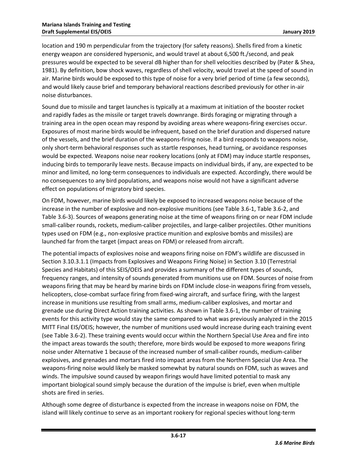location and 190 m perpendicular from the trajectory (for safety reasons). Shells fired from a kinetic energy weapon are considered hypersonic, and would travel at about 6,500 ft./second, and peak pressures would be expected to be several dB higher than for shell velocities described by [\(Pater & Shea,](#page-38-12)  [1981\)](#page-38-12). By definition, bow shock waves, regardless of shell velocity, would travel at the speed of sound in air. Marine birds would be exposed to this type of noise for a very brief period of time (a few seconds), and would likely cause brief and temporary behavioral reactions described previously for other in-air noise disturbances.

Sound due to missile and target launches is typically at a maximum at initiation of the booster rocket and rapidly fades as the missile or target travels downrange. Birds foraging or migrating through a training area in the open ocean may respond by avoiding areas where weapons-firing exercises occur. Exposures of most marine birds would be infrequent, based on the brief duration and dispersed nature of the vessels, and the brief duration of the weapons-firing noise. If a bird responds to weapons noise, only short-term behavioral responses such as startle responses, head turning, or avoidance responses would be expected. Weapons noise near rookery locations (only at FDM) may induce startle responses, inducing birds to temporarily leave nests. Because impacts on individual birds, if any, are expected to be minor and limited, no long-term consequences to individuals are expected. Accordingly, there would be no consequences to any bird populations, and weapons noise would not have a significant adverse effect on populations of migratory bird species.

On FDM, however, marine birds would likely be exposed to increased weapons noise because of the increase in the number of explosive and non-explosive munitions (see [Table 3.6-1,](#page-11-0) Table 3.6-2, and [Table 3.6-3\)](#page-12-1). Sources of weapons generating noise at the time of weapons firing on or near FDM include small-caliber rounds, rockets, medium-caliber projectiles, and large-caliber projectiles. Other munitions types used on FDM (e.g., non-explosive practice munition and explosive bombs and missiles) are launched far from the target (impact areas on FDM) or released from aircraft.

The potential impacts of explosives noise and weapons firing noise on FDM's wildlife are discussed in Section 3.10.3.1.1 (Impacts from Explosives and Weapons Firing Noise) in Section 3.10 (Terrestrial Species and Habitats) of this SEIS/OEIS and provides a summary of the different types of sounds, frequency ranges, and intensity of sounds generated from munitions use on FDM. Sources of noise from weapons firing that may be heard by marine birds on FDM include close-in weapons firing from vessels, helicopters, close-combat surface firing from fixed-wing aircraft, and surface firing, with the largest increase in munitions use resulting from small arms, medium-caliber explosives, and mortar and grenade use during Direct Action training activities. As shown in Table 3.6-1, the number of training events for this activity type would stay the same compared to what was previously analyzed in the 2015 MITT Final EIS/OEIS; however, the number of munitions used would increase during each training event (see Table 3.6-2). These training events would occur within the Northern Special Use Area and fire into the impact areas towards the south; therefore, more birds would be exposed to more weapons firing noise under Alternative 1 because of the increased number of small-caliber rounds, medium-caliber explosives, and grenades and mortars fired into impact areas from the Northern Special Use Area. The weapons-firing noise would likely be masked somewhat by natural sounds on FDM, such as waves and winds. The impulsive sound caused by weapon firings would have limited potential to mask any important biological sound simply because the duration of the impulse is brief, even when multiple shots are fired in series.

Although some degree of disturbance is expected from the increase in weapons noise on FDM, the island will likely continue to serve as an important rookery for regional species without long-term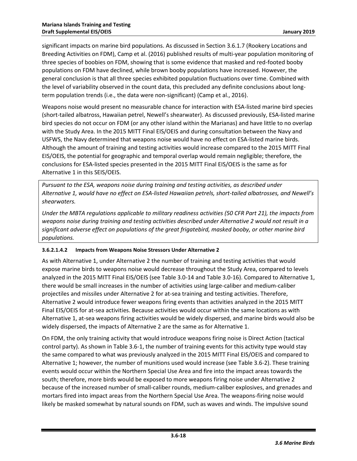significant impacts on marine bird populations. As discussed in Section 3.6.1.7 (Rookery Locations and Breeding Activities on FDM), Camp et al. (2016) published results of multi-year population monitoring of three species of boobies on FDM, showing that is some evidence that masked and red-footed booby populations on FDM have declined, while brown booby populations have increased. However, the general conclusion is that all three species exhibited population fluctuations over time. Combined with the level of variability observed in the count data, this precluded any definite conclusions about longterm population trends (i.e., the data were non-significant) [\(Camp et al., 2016\)](#page-36-9).

Weapons noise would present no measurable chance for interaction with ESA-listed marine bird species (short-tailed albatross, Hawaiian petrel, Newell's shearwater). As discussed previously, ESA-listed marine bird species do not occur on FDM (or any other island within the Marianas) and have little to no overlap with the Study Area. In the 2015 MITT Final EIS/OEIS and during consultation between the Navy and USFWS, the Navy determined that weapons noise would have no effect on ESA-listed marine birds. Although the amount of training and testing activities would increase compared to the 2015 MITT Final EIS/OEIS, the potential for geographic and temporal overlap would remain negligible; therefore, the conclusions for ESA-listed species presented in the 2015 MITT Final EIS/OEIS is the same as for Alternative 1 in this SEIS/OEIS.

*Pursuant to the ESA, weapons noise during training and testing activities, as described under Alternative 1, would have no effect on ESA-listed Hawaiian petrels, short-tailed albatrosses, and Newell's shearwaters.* 

*Under the MBTA regulations applicable to military readiness activities (50 CFR Part 21), the impacts from weapons noise during training and testing activities described under Alternative 2 would not result in a significant adverse effect on populations of the great frigatebird, masked booby, or other marine bird populations.*

#### **3.6.2.1.4.2 Impacts from Weapons Noise Stressors Under Alternative 2**

As with Alternative 1, under Alternative 2 the number of training and testing activities that would expose marine birds to weapons noise would decrease throughout the Study Area, compared to levels analyzed in the 2015 MITT Final EIS/OEIS (see Table 3.0-14 and Table 3.0-16). Compared to Alternative 1, there would be small increases in the number of activities using large-caliber and medium-caliber projectiles and missiles under Alternative 2 for at-sea training and testing activities. Therefore, Alternative 2 would introduce fewer weapons firing events than activities analyzed in the 2015 MITT Final EIS/OEIS for at-sea activities. Because activities would occur within the same locations as with Alternative 1, at-sea weapons firing activities would be widely dispersed, and marine birds would also be widely dispersed, the impacts of Alternative 2 are the same as for Alternative 1.

On FDM, the only training activity that would introduce weapons firing noise is Direct Action (tactical control party). As shown in Table 3.6-1, the number of training events for this activity type would stay the same compared to what was previously analyzed in the 2015 MITT Final EIS/OEIS and compared to Alternative 1; however, the number of munitions used would increase (see Table 3.6-2). These training events would occur within the Northern Special Use Area and fire into the impact areas towards the south; therefore, more birds would be exposed to more weapons firing noise under Alternative 2 because of the increased number of small-caliber rounds, medium-caliber explosives, and grenades and mortars fired into impact areas from the Northern Special Use Area. The weapons-firing noise would likely be masked somewhat by natural sounds on FDM, such as waves and winds. The impulsive sound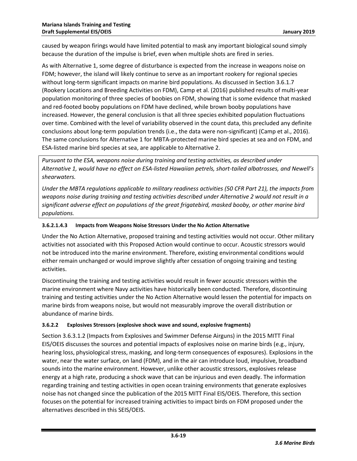caused by weapon firings would have limited potential to mask any important biological sound simply because the duration of the impulse is brief, even when multiple shots are fired in series.

As with Alternative 1, some degree of disturbance is expected from the increase in weapons noise on FDM; however, the island will likely continue to serve as an important rookery for regional species without long-term significant impacts on marine bird populations. As discussed in Section 3.6.1.7 (Rookery Locations and Breeding Activities on FDM), Camp et al. (2016) published results of multi-year population monitoring of three species of boobies on FDM, showing that is some evidence that masked and red-footed booby populations on FDM have declined, while brown booby populations have increased. However, the general conclusion is that all three species exhibited population fluctuations over time. Combined with the level of variability observed in the count data, this precluded any definite conclusions about long-term population trends (i.e., the data were non-significant) [\(Camp et al., 2016\)](#page-36-9). The same conclusions for Alternative 1 for MBTA-protected marine bird species at sea and on FDM, and ESA-listed marine bird species at sea, are applicable to Alternative 2.

*Pursuant to the ESA, weapons noise during training and testing activities, as described under Alternative 1, would have no effect on ESA-listed Hawaiian petrels, short-tailed albatrosses, and Newell's shearwaters.* 

*Under the MBTA regulations applicable to military readiness activities (50 CFR Part 21), the impacts from weapons noise during training and testing activities described under Alternative 2 would not result in a significant adverse effect on populations of the great frigatebird, masked booby, or other marine bird populations.*

#### **3.6.2.1.4.3 Impacts from Weapons Noise Stressors Under the No Action Alternative**

Under the No Action Alternative, proposed training and testing activities would not occur. Other military activities not associated with this Proposed Action would continue to occur. Acoustic stressors would not be introduced into the marine environment. Therefore, existing environmental conditions would either remain unchanged or would improve slightly after cessation of ongoing training and testing activities.

Discontinuing the training and testing activities would result in fewer acoustic stressors within the marine environment where Navy activities have historically been conducted. Therefore, discontinuing training and testing activities under the No Action Alternative would lessen the potential for impacts on marine birds from weapons noise, but would not measurably improve the overall distribution or abundance of marine birds.

#### <span id="page-22-0"></span>**3.6.2.2 Explosives Stressors (explosive shock wave and sound, explosive fragments)**

Section 3.6.3.1.2 (Impacts from Explosives and Swimmer Defense Airguns) in the 2015 MITT Final EIS/OEIS discusses the sources and potential impacts of explosives noise on marine birds (e.g., injury, hearing loss, physiological stress, masking, and long-term consequences of exposures). Explosions in the water, near the water surface, on land (FDM), and in the air can introduce loud, impulsive, broadband sounds into the marine environment. However, unlike other acoustic stressors, explosives release energy at a high rate, producing a shock wave that can be injurious and even deadly. The information regarding training and testing activities in open ocean training environments that generate explosives noise has not changed since the publication of the 2015 MITT Final EIS/OEIS. Therefore, this section focuses on the potential for increased training activities to impact birds on FDM proposed under the alternatives described in this SEIS/OEIS.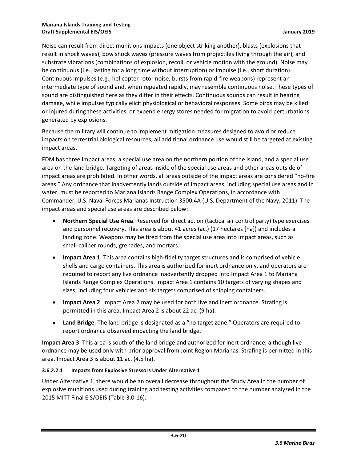Noise can result from direct munitions impacts (one object striking another), blasts (explosions that result in shock waves), bow shock waves (pressure waves from projectiles flying through the air), and substrate vibrations (combinations of explosion, recoil, or vehicle motion with the ground). Noise may be continuous (i.e., lasting for a long time without interruption) or impulse (i.e., short duration). Continuous impulses (e.g., helicopter rotor noise, bursts from rapid-fire weapons) represent an intermediate type of sound and, when repeated rapidly, may resemble continuous noise. These types of sound are distinguished here as they differ in their effects. Continuous sounds can result in hearing damage, while impulses typically elicit physiological or behavioral responses. Some birds may be killed or injured during these activities, or expend energy stores needed for migration to avoid perturbations generated by explosions.

Because the military will continue to implement mitigation measures designed to avoid or reduce impacts on terrestrial biological resources, all additional ordnance use would still be targeted at existing impact areas.

FDM has three impact areas, a special use area on the northern portion of the island, and a special use area on the land bridge. Targeting of areas inside of the special use areas and other areas outside of impact areas are prohibited. In other words, all areas outside of the impact areas are considered "no-fire areas." Any ordnance that inadvertently lands outside of impact areas, including special use areas and in water, must be reported to Mariana Islands Range Complex Operations, in accordance with Commander, U.S. Naval Forces Marianas Instruction 3500.4A [\(U.S. Department of the Navy, 2011\)](#page-39-6). The impact areas and special use areas are described below:

- **Northern Special Use Area**. Reserved for direct action (tactical air control party) type exercises and personnel recovery. This area is about 41 acres (ac.) (17 hectares [ha]) and includes a landing zone. Weapons may be fired from the special use area into impact areas, such as small-caliber rounds, grenades, and mortars.
- **Impact Area 1**. This area contains high-fidelity target structures and is comprised of vehicle shells and cargo containers. This area is authorized for inert ordnance only, and operators are required to report any live ordnance inadvertently dropped into Impact Area 1 to Mariana Islands Range Complex Operations. Impact Area 1 contains 10 targets of varying shapes and sizes, including four vehicles and six targets comprised of shipping containers.
- **Impact Area 2**. Impact Area 2 may be used for both live and inert ordnance. Strafing is permitted in this area. Impact Area 2 is about 22 ac. (9 ha).
- **Land Bridge**. The land bridge is designated as a "no target zone." Operators are required to report ordnance observed impacting the land bridge.

**Impact Area 3**. This area is south of the land bridge and authorized for inert ordnance, although live ordnance may be used only with prior approval from Joint Region Marianas. Strafing is permitted in this area. Impact Area 3 is about 11 ac. (4.5 ha).

# **3.6.2.2.1 Impacts from Explosive Stressors Under Alternative 1**

Under Alternative 1, there would be an overall decrease throughout the Study Area in the number of explosive munitions used during training and testing activities compared to the number analyzed in the 2015 MITT Final EIS/OEIS (Table 3.0-16).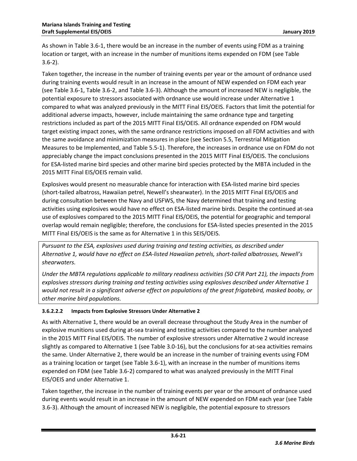As shown in Table 3.6-1, there would be an increase in the number of events using FDM as a training location or target, with an increase in the number of munitions items expended on FDM (see Table 3.6-2).

Taken together, the increase in the number of training events per year or the amount of ordnance used during training events would result in an increase in the amount of NEW expended on FDM each year (see Table 3.6-1, Table 3.6-2, and Table 3.6-3). Although the amount of increased NEW is negligible, the potential exposure to stressors associated with ordnance use would increase under Alternative 1 compared to what was analyzed previously in the MITT Final EIS/OEIS. Factors that limit the potential for additional adverse impacts, however, include maintaining the same ordnance type and targeting restrictions included as part of the 2015 MITT Final EIS/OEIS. All ordnance expended on FDM would target existing impact zones, with the same ordnance restrictions imposed on all FDM activities and with the same avoidance and minimization measures in place (see Section 5.5, Terrestrial Mitigation Measures to be Implemented, and Table 5.5-1). Therefore, the increases in ordnance use on FDM do not appreciably change the impact conclusions presented in the 2015 MITT Final EIS/OEIS. The conclusions for ESA-listed marine bird species and other marine bird species protected by the MBTA included in the 2015 MITT Final EIS/OEIS remain valid.

Explosives would present no measurable chance for interaction with ESA-listed marine bird species (short-tailed albatross, Hawaiian petrel, Newell's shearwater). In the 2015 MITT Final EIS/OEIS and during consultation between the Navy and USFWS, the Navy determined that training and testing activities using explosives would have no effect on ESA-listed marine birds. Despite the continued at-sea use of explosives compared to the 2015 MITT Final EIS/OEIS, the potential for geographic and temporal overlap would remain negligible; therefore, the conclusions for ESA-listed species presented in the 2015 MITT Final EIS/OEIS is the same as for Alternative 1 in this SEIS/OEIS.

*Pursuant to the ESA, explosives used during training and testing activities, as described under Alternative 1, would have no effect on ESA-listed Hawaiian petrels, short-tailed albatrosses, Newell's shearwaters.* 

*Under the MBTA regulations applicable to military readiness activities (50 CFR Part 21), the impacts from explosives stressors during training and testing activities using explosives described under Alternative 1 would not result in a significant adverse effect on populations of the great frigatebird, masked booby, or other marine bird populations.*

#### **3.6.2.2.2 Impacts from Explosive Stressors Under Alternative 2**

As with Alternative 1, there would be an overall decrease throughout the Study Area in the number of explosive munitions used during at-sea training and testing activities compared to the number analyzed in the 2015 MITT Final EIS/OEIS. The number of explosive stressors under Alternative 2 would increase slightly as compared to Alternative 1 (see Table 3.0-16), but the conclusions for at-sea activities remains the same. Under Alternative 2, there would be an increase in the number of training events using FDM as a training location or target (see Table 3.6-1), with an increase in the number of munitions items expended on FDM (see Table 3.6-2) compared to what was analyzed previously in the MITT Final EIS/OEIS and under Alternative 1.

Taken together, the increase in the number of training events per year or the amount of ordnance used during events would result in an increase in the amount of NEW expended on FDM each year (see Table 3.6-3). Although the amount of increased NEW is negligible, the potential exposure to stressors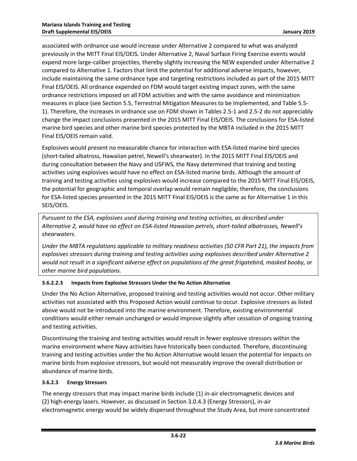associated with ordnance use would increase under Alternative 2 compared to what was analyzed previously in the MITT Final EIS/OEIS. Under Alternative 2, Naval Surface Firing Exercise events would expend more large-caliber projectiles, thereby slightly increasing the NEW expended under Alternative 2 compared to Alternative 1. Factors that limit the potential for additional adverse impacts, however, include maintaining the same ordnance type and targeting restrictions included as part of the 2015 MITT Final EIS/OEIS. All ordnance expended on FDM would target existing impact zones, with the same ordnance restrictions imposed on all FDM activities and with the same avoidance and minimization measures in place (see Section 5.5, Terrestrial Mitigation Measures to be Implemented, and Table 5.5- 1). Therefore, the increases in ordnance use on FDM shown in Tables 2.5-1 and 2.5-2 do not appreciably change the impact conclusions presented in the 2015 MITT Final EIS/OEIS. The conclusions for ESA-listed marine bird species and other marine bird species protected by the MBTA included in the 2015 MITT Final EIS/OEIS remain valid.

Explosives would present no measurable chance for interaction with ESA-listed marine bird species (short-tailed albatross, Hawaiian petrel, Newell's shearwater). In the 2015 MITT Final EIS/OEIS and during consultation between the Navy and USFWS, the Navy determined that training and testing activities using explosives would have no effect on ESA-listed marine birds. Although the amount of training and testing activities using explosives would increase compared to the 2015 MITT Final EIS/OEIS, the potential for geographic and temporal overlap would remain negligible; therefore, the conclusions for ESA-listed species presented in the 2015 MITT Final EIS/OEIS is the same as for Alternative 1 in this SEIS/OEIS.

*Pursuant to the ESA, explosives used during training and testing activities, as described under Alternative 2, would have no effect on ESA-listed Hawaiian petrels, short-tailed albatrosses, Newell's shearwaters.* 

*Under the MBTA regulations applicable to military readiness activities (50 CFR Part 21), the impacts from explosives stressors during training and testing activities using explosives described under Alternative 2 would not result in a significant adverse effect on populations of the great frigatebird, masked booby, or other marine bird populations.*

# **3.6.2.2.3 Impacts from Explosive Stressors Under the No Action Alternative**

Under the No Action Alternative, proposed training and testing activities would not occur. Other military activities not associated with this Proposed Action would continue to occur. Explosive stressors as listed above would not be introduced into the marine environment. Therefore, existing environmental conditions would either remain unchanged or would improve slightly after cessation of ongoing training and testing activities.

Discontinuing the training and testing activities would result in fewer explosive stressors within the marine environment where Navy activities have historically been conducted. Therefore, discontinuing training and testing activities under the No Action Alternative would lessen the potential for impacts on marine birds from explosive stressors, but would not measurably improve the overall distribution or abundance of marine birds.

# <span id="page-25-0"></span>**3.6.2.3 Energy Stressors**

The energy stressors that may impact marine birds include (1) in-air electromagnetic devices and (2) high-energy lasers. However, as discussed in Section 3.0.4.3 (Energy Stressors), in-air electromagnetic energy would be widely dispersed throughout the Study Area, but more concentrated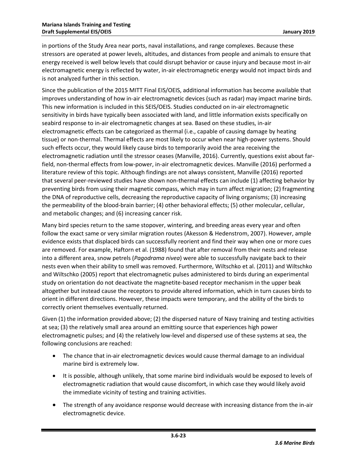in portions of the Study Area near ports, naval installations, and range complexes. Because these stressors are operated at power levels, altitudes, and distances from people and animals to ensure that energy received is well below levels that could disrupt behavior or cause injury and because most in-air electromagnetic energy is reflected by water, in-air electromagnetic energy would not impact birds and is not analyzed further in this section.

Since the publication of the 2015 MITT Final EIS/OEIS, additional information has become available that improves understanding of how in-air electromagnetic devices (such as radar) may impact marine birds. This new information is included in this SEIS/OEIS. Studies conducted on in-air electromagnetic sensitivity in birds have typically been associated with land, and little information exists specifically on seabird response to in-air electromagnetic changes at sea. Based on these studies, in-air electromagnetic effects can be categorized as thermal (i.e., capable of causing damage by heating tissue) or non-thermal. Thermal effects are most likely to occur when near high-power systems. Should such effects occur, they would likely cause birds to temporarily avoid the area receiving the electromagnetic radiation until the stressor ceases [\(Manville, 2016\)](#page-37-13). Currently, questions exist about farfield, non-thermal effects from low-power, in-air electromagnetic devices. Manville (2016) performed a literature review of this topic. Although findings are not always consistent, Manville (2016) reported that several peer-reviewed studies have shown non-thermal effects can include (1) affecting behavior by preventing birds from using their magnetic compass, which may in turn affect migration; (2) fragmenting the DNA of reproductive cells, decreasing the reproductive capacity of living organisms; (3) increasing the permeability of the blood-brain barrier; (4) other behavioral effects; (5) other molecular, cellular, and metabolic changes; and (6) increasing cancer risk.

Many bird species return to the same stopover, wintering, and breeding areas every year and often follow the exact same or very similar migration routes [\(Akesson & Hedenstrom, 2007\)](#page-36-13). However, ample evidence exists that displaced birds can successfully reorient and find their way when one or more cues are removed. For example, Haftorn et al. (1988) found that after removal from their nests and release into a different area, snow petrels (*Pagodrama nivea*) were able to successfully navigate back to their nests even when their ability to smell was removed. Furthermore, Wiltschko et al. (2011) and Wiltschko and Wiltschko (2005) report that electromagnetic pulses administered to birds during an experimental study on orientation do not deactivate the magnetite-based receptor mechanism in the upper beak altogether but instead cause the receptors to provide altered information, which in turn causes birds to orient in different directions. However, these impacts were temporary, and the ability of the birds to correctly orient themselves eventually returned.

Given (1) the information provided above; (2) the dispersed nature of Navy training and testing activities at sea; (3) the relatively small area around an emitting source that experiences high power electromagnetic pulses; and (4) the relatively low-level and dispersed use of these systems at sea, the following conclusions are reached:

- The chance that in-air electromagnetic devices would cause thermal damage to an individual marine bird is extremely low.
- It is possible, although unlikely, that some marine bird individuals would be exposed to levels of electromagnetic radiation that would cause discomfort, in which case they would likely avoid the immediate vicinity of testing and training activities.
- The strength of any avoidance response would decrease with increasing distance from the in-air electromagnetic device.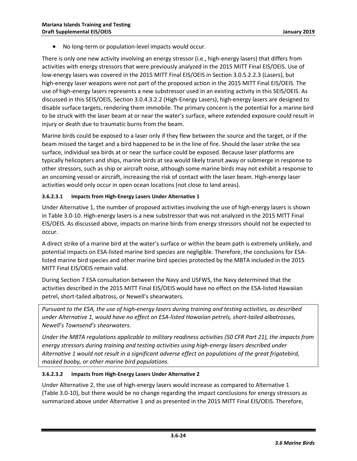No long-term or population-level impacts would occur.

There is only one new activity involving an energy stressor (i.e., high-energy lasers) that differs from activities with energy stressors that were previously analyzed in the 2015 MITT Final EIS/OEIS. Use of low-energy lasers was covered in the 2015 MITT Final EIS/OEIS in Section 3.0.5.2.2.3 (Lasers), but high-energy laser weapons were not part of the proposed action in the 2015 MITT Final EIS/OEIS. The use of high-energy lasers represents a new substressor used in an existing activity in this SEIS/OEIS. As discussed in this SEIS/OEIS, Section 3.0.4.3.2.2 (High-Energy Lasers), high-energy lasers are designed to disable surface targets, rendering them immobile. The primary concern is the potential for a marine bird to be struck with the laser beam at or near the water's surface, where extended exposure could result in injury or death due to traumatic burns from the beam.

Marine birds could be exposed to a laser only if they flew between the source and the target, or if the beam missed the target and a bird happened to be in the line of fire. Should the laser strike the sea surface, individual sea birds at or near the surface could be exposed. Because laser platforms are typically helicopters and ships, marine birds at sea would likely transit away or submerge in response to other stressors, such as ship or aircraft noise, although some marine birds may not exhibit a response to an oncoming vessel or aircraft, increasing the risk of contact with the laser beam. High-energy laser activities would only occur in open ocean locations (not close to land areas).

#### **3.6.2.3.1 Impacts from High-Energy Lasers Under Alternative 1**

Under Alternative 1, the number of proposed activities involving the use of high-energy lasers is shown in Table 3.0-10. High-energy lasers is a new substressor that was not analyzed in the 2015 MITT Final EIS/OEIS. As discussed above, impacts on marine birds from energy stressors should not be expected to occur.

A direct strike of a marine bird at the water's surface or within the beam path is extremely unlikely, and potential impacts on ESA-listed marine bird species are negligible. Therefore, the conclusions for ESAlisted marine bird species and other marine bird species protected by the MBTA included in the 2015 MITT Final EIS/OEIS remain valid.

During Section 7 ESA consultation between the Navy and USFWS, the Navy determined that the activities described in the 2015 MITT Final EIS/OEIS would have no effect on the ESA-listed Hawaiian petrel, short-tailed albatross, or Newell's shearwaters.

*Pursuant to the ESA, the use of high-energy lasers during training and testing activities, as described under Alternative 1, would have no effect on ESA-listed Hawaiian petrels, short-tailed albatrosses, Newell's Townsend's shearwaters.*

*Under the MBTA regulations applicable to military readiness activities (50 CFR Part 21), the impacts from energy stressors during training and testing activities using high-energy lasers described under Alternative 1 would not result in a significant adverse effect on populations of the great frigatebird, masked booby, or other marine bird populations.*

#### **3.6.2.3.2 Impacts from High-Energy Lasers Under Alternative 2**

Under Alternative 2, the use of high-energy lasers would increase as compared to Alternative 1 (Table 3.0-10), but there would be no change regarding the impact conclusions for energy stressors as summarized above under Alternative 1 and as presented in the 2015 MITT Final EIS/OEIS. Therefore,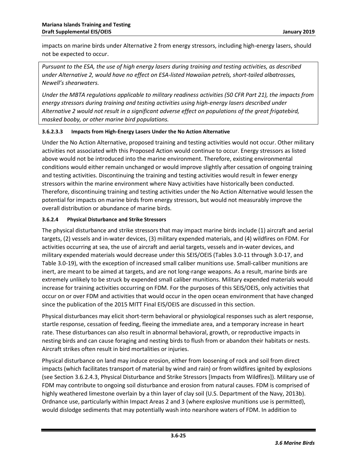impacts on marine birds under Alternative 2 from energy stressors, including high-energy lasers, should not be expected to occur.

*Pursuant to the ESA, the use of high energy lasers during training and testing activities, as described under Alternative 2, would have no effect on ESA-listed Hawaiian petrels, short-tailed albatrosses, Newell's shearwaters.*

*Under the MBTA regulations applicable to military readiness activities (50 CFR Part 21), the impacts from energy stressors during training and testing activities using high-energy lasers described under Alternative 2 would not result in a significant adverse effect on populations of the great frigatebird, masked booby, or other marine bird populations.*

# **3.6.2.3.3 Impacts from High-Energy Lasers Under the No Action Alternative**

Under the No Action Alternative, proposed training and testing activities would not occur. Other military activities not associated with this Proposed Action would continue to occur. Energy stressors as listed above would not be introduced into the marine environment. Therefore, existing environmental conditions would either remain unchanged or would improve slightly after cessation of ongoing training and testing activities. Discontinuing the training and testing activities would result in fewer energy stressors within the marine environment where Navy activities have historically been conducted. Therefore, discontinuing training and testing activities under the No Action Alternative would lessen the potential for impacts on marine birds from energy stressors, but would not measurably improve the overall distribution or abundance of marine birds.

#### <span id="page-28-0"></span>**3.6.2.4 Physical Disturbance and Strike Stressors**

The physical disturbance and strike stressors that may impact marine birds include (1) aircraft and aerial targets, (2) vessels and in-water devices, (3) military expended materials, and (4) wildfires on FDM. For activities occurring at sea, the use of aircraft and aerial targets, vessels and in-water devices, and military expended materials would decrease under this SEIS/OEIS (Tables 3.0-11 through 3.0-17, and Table 3.0-19), with the exception of increased small caliber munitions use. Small-caliber munitions are inert, are meant to be aimed at targets, and are not long-range weapons. As a result, marine birds are extremely unlikely to be struck by expended small caliber munitions. Military expended materials would increase for training activities occurring on FDM. For the purposes of this SEIS/OEIS, only activities that occur on or over FDM and activities that would occur in the open ocean environment that have changed since the publication of the 2015 MITT Final EIS/OEIS are discussed in this section.

Physical disturbances may elicit short-term behavioral or physiological responses such as alert response, startle response, cessation of feeding, fleeing the immediate area, and a temporary increase in heart rate. These disturbances can also result in abnormal behavioral, growth, or reproductive impacts in nesting birds and can cause foraging and nesting birds to flush from or abandon their habitats or nests. Aircraft strikes often result in bird mortalities or injuries.

Physical disturbance on land may induce erosion, either from loosening of rock and soil from direct impacts (which facilitates transport of material by wind and rain) or from wildfires ignited by explosions (see Section 3.6.2.4.3, Physical Disturbance and Strike Stressors [Impacts from Wildfires]). Military use of FDM may contribute to ongoing soil disturbance and erosion from natural causes. FDM is comprised of highly weathered limestone overlain by a thin layer of clay soil [\(U.S. Department of the Navy, 2013b\)](#page-39-7). Ordnance use, particularly within Impact Areas 2 and 3 (where explosive munitions use is permitted), would dislodge sediments that may potentially wash into nearshore waters of FDM. In addition to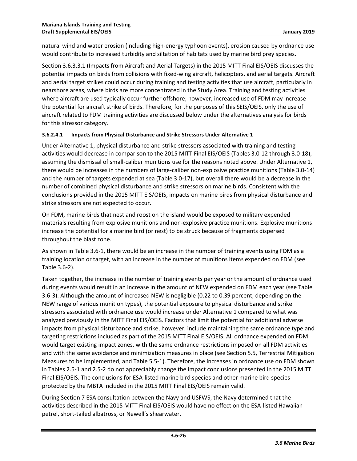natural wind and water erosion (including high-energy typhoon events), erosion caused by ordnance use would contribute to increased turbidity and siltation of habitats used by marine bird prey species.

Section 3.6.3.3.1 (Impacts from Aircraft and Aerial Targets) in the 2015 MITT Final EIS/OEIS discusses the potential impacts on birds from collisions with fixed-wing aircraft, helicopters, and aerial targets. Aircraft and aerial target strikes could occur during training and testing activities that use aircraft, particularly in nearshore areas, where birds are more concentrated in the Study Area. Training and testing activities where aircraft are used typically occur further offshore; however, increased use of FDM may increase the potential for aircraft strike of birds. Therefore, for the purposes of this SEIS/OEIS, only the use of aircraft related to FDM training activities are discussed below under the alternatives analysis for birds for this stressor category.

#### **3.6.2.4.1 Impacts from Physical Disturbance and Strike Stressors Under Alternative 1**

Under Alternative 1, physical disturbance and strike stressors associated with training and testing activities would decrease in comparison to the 2015 MITT Final EIS/OEIS (Tables 3.0-12 through 3.0-18), assuming the dismissal of small-caliber munitions use for the reasons noted above. Under Alternative 1, there would be increases in the numbers of large-caliber non-explosive practice munitions (Table 3.0-14) and the number of targets expended at sea (Table 3.0-17), but overall there would be a decrease in the number of combined physical disturbance and strike stressors on marine birds. Consistent with the conclusions provided in the 2015 MITT EIS/OEIS, impacts on marine birds from physical disturbance and strike stressors are not expected to occur.

On FDM, marine birds that nest and roost on the island would be exposed to military expended materials resulting from explosive munitions and non-explosive practice munitions. Explosive munitions increase the potential for a marine bird (or nest) to be struck because of fragments dispersed throughout the blast zone.

As shown in Table 3.6-1, there would be an increase in the number of training events using FDM as a training location or target, with an increase in the number of munitions items expended on FDM (see Table 3.6-2).

Taken together, the increase in the number of training events per year or the amount of ordnance used during events would result in an increase in the amount of NEW expended on FDM each year (see Table 3.6-3). Although the amount of increased NEW is negligible (0.22 to 0.39 percent, depending on the NEW range of various munition types), the potential exposure to physical disturbance and strike stressors associated with ordnance use would increase under Alternative 1 compared to what was analyzed previously in the MITT Final EIS/OEIS. Factors that limit the potential for additional adverse impacts from physical disturbance and strike, however, include maintaining the same ordnance type and targeting restrictions included as part of the 2015 MITT Final EIS/OEIS. All ordnance expended on FDM would target existing impact zones, with the same ordnance restrictions imposed on all FDM activities and with the same avoidance and minimization measures in place (see Section 5.5, Terrestrial Mitigation Measures to be Implemented, and Table 5.5-1). Therefore, the increases in ordnance use on FDM shown in Tables 2.5-1 and 2.5-2 do not appreciably change the impact conclusions presented in the 2015 MITT Final EIS/OEIS. The conclusions for ESA-listed marine bird species and other marine bird species protected by the MBTA included in the 2015 MITT Final EIS/OEIS remain valid.

During Section 7 ESA consultation between the Navy and USFWS, the Navy determined that the activities described in the 2015 MITT Final EIS/OEIS would have no effect on the ESA-listed Hawaiian petrel, short-tailed albatross, or Newell's shearwater.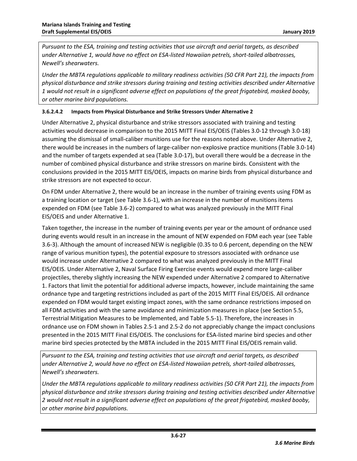*Pursuant to the ESA, training and testing activities that use aircraft and aerial targets, as described under Alternative 1, would have no effect on ESA-listed Hawaiian petrels, short-tailed albatrosses, Newell's shearwaters.* 

*Under the MBTA regulations applicable to military readiness activities (50 CFR Part 21), the impacts from physical disturbance and strike stressors during training and testing activities described under Alternative 1 would not result in a significant adverse effect on populations of the great frigatebird, masked booby, or other marine bird populations.*

#### **3.6.2.4.2 Impacts from Physical Disturbance and Strike Stressors Under Alternative 2**

Under Alternative 2, physical disturbance and strike stressors associated with training and testing activities would decrease in comparison to the 2015 MITT Final EIS/OEIS (Tables 3.0-12 through 3.0-18) assuming the dismissal of small-caliber munitions use for the reasons noted above. Under Alternative 2, there would be increases in the numbers of large-caliber non-explosive practice munitions (Table 3.0-14) and the number of targets expended at sea (Table 3.0-17), but overall there would be a decrease in the number of combined physical disturbance and strike stressors on marine birds. Consistent with the conclusions provided in the 2015 MITT EIS/OEIS, impacts on marine birds from physical disturbance and strike stressors are not expected to occur.

On FDM under Alternative 2, there would be an increase in the number of training events using FDM as a training location or target (see Table 3.6-1), with an increase in the number of munitions items expended on FDM (see Table 3.6-2) compared to what was analyzed previously in the MITT Final EIS/OEIS and under Alternative 1.

Taken together, the increase in the number of training events per year or the amount of ordnance used during events would result in an increase in the amount of NEW expended on FDM each year (see Table 3.6-3). Although the amount of increased NEW is negligible (0.35 to 0.6 percent, depending on the NEW range of various munition types), the potential exposure to stressors associated with ordnance use would increase under Alternative 2 compared to what was analyzed previously in the MITT Final EIS/OEIS. Under Alternative 2, Naval Surface Firing Exercise events would expend more large-caliber projectiles, thereby slightly increasing the NEW expended under Alternative 2 compared to Alternative 1. Factors that limit the potential for additional adverse impacts, however, include maintaining the same ordnance type and targeting restrictions included as part of the 2015 MITT Final EIS/OEIS. All ordnance expended on FDM would target existing impact zones, with the same ordnance restrictions imposed on all FDM activities and with the same avoidance and minimization measures in place (see Section 5.5, Terrestrial Mitigation Measures to be Implemented, and Table 5.5-1). Therefore, the increases in ordnance use on FDM shown in Tables 2.5-1 and 2.5-2 do not appreciably change the impact conclusions presented in the 2015 MITT Final EIS/OEIS. The conclusions for ESA-listed marine bird species and other marine bird species protected by the MBTA included in the 2015 MITT Final EIS/OEIS remain valid.

*Pursuant to the ESA, training and testing activities that use aircraft and aerial targets, as described under Alternative 2, would have no effect on ESA-listed Hawaiian petrels, short-tailed albatrosses, Newell's shearwaters.*

*Under the MBTA regulations applicable to military readiness activities (50 CFR Part 21), the impacts from physical disturbance and strike stressors during training and testing activities described under Alternative 2 would not result in a significant adverse effect on populations of the great frigatebird, masked booby, or other marine bird populations.*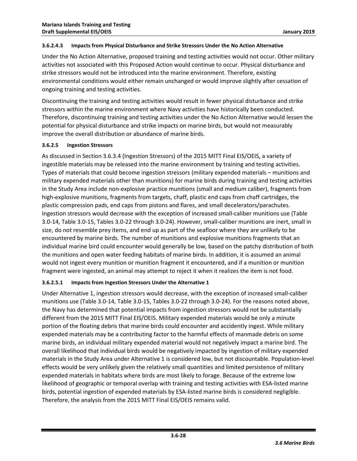#### **3.6.2.4.3 Impacts from Physical Disturbance and Strike Stressors Under the No Action Alternative**

Under the No Action Alternative, proposed training and testing activities would not occur. Other military activities not associated with this Proposed Action would continue to occur. Physical disturbance and strike stressors would not be introduced into the marine environment. Therefore, existing environmental conditions would either remain unchanged or would improve slightly after cessation of ongoing training and testing activities.

Discontinuing the training and testing activities would result in fewer physical disturbance and strike stressors within the marine environment where Navy activities have historically been conducted. Therefore, discontinuing training and testing activities under the No Action Alternative would lessen the potential for physical disturbance and strike impacts on marine birds, but would not measurably improve the overall distribution or abundance of marine birds.

#### <span id="page-31-0"></span>**3.6.2.5 Ingestion Stressors**

As discussed in Section 3.6.3.4 (Ingestion Stressors) of the 2015 MITT Final EIS/OEIS, a variety of ingestible materials may be released into the marine environment by training and testing activities. Types of materials that could become ingestion stressors (military expended materials – munitions and military expended materials other than munitions) for marine birds during training and testing activities in the Study Area include non-explosive practice munitions (small and medium caliber), fragments from high-explosive munitions, fragments from targets, chaff, plastic end caps from chaff cartridges, the plastic compression pads, end caps from pistons and flares, and small decelerators/parachutes. Ingestion stressors would decrease with the exception of increased small-caliber munitions use (Table 3.0-14, Table 3.0-15, Tables 3.0-22 through 3.0-24). However, small-caliber munitions are inert, small in size, do not resemble prey items, and end up as part of the seafloor where they are unlikely to be encountered by marine birds. The number of munitions and explosive munitions fragments that an individual marine bird could encounter would generally be low, based on the patchy distribution of both the munitions and open water feeding habitats of marine birds. In addition, it is assumed an animal would not ingest every munition or munition fragment it encountered, and if a munition or munition fragment were ingested, an animal may attempt to reject it when it realizes the item is not food.

#### **3.6.2.5.1 Impacts from Ingestion Stressors Under the Alternative 1**

Under Alternative 1, ingestion stressors would decrease, with the exception of increased small-caliber munitions use (Table 3.0-14, Table 3.0-15, Tables 3.0-22 through 3.0-24). For the reasons noted above, the Navy has determined that potential impacts from ingestion stressors would not be substantially different from the 2015 MITT Final EIS/OEIS. Military expended materials would be only a minute portion of the floating debris that marine birds could encounter and accidently ingest. While military expended materials may be a contributing factor to the harmful effects of manmade debris on some marine birds, an individual military expended material would not negatively impact a marine bird. The overall likelihood that individual birds would be negatively impacted by ingestion of military expended materials in the Study Area under Alternative 1 is considered low, but not discountable. Population-level effects would be very unlikely given the relatively small quantities and limited persistence of military expended materials in habitats where birds are most likely to forage. Because of the extreme low likelihood of geographic or temporal overlap with training and testing activities with ESA-listed marine birds, potential ingestion of expended materials by ESA-listed marine birds is considered negligible. Therefore, the analysis from the 2015 MITT Final EIS/OEIS remains valid.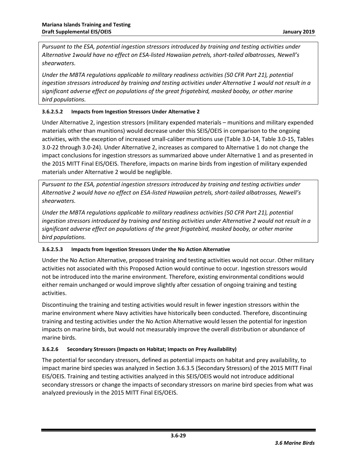*Pursuant to the ESA, potential ingestion stressors introduced by training and testing activities under Alternative 1would have no effect on ESA-listed Hawaiian petrels, short-tailed albatrosses, Newell's shearwaters.* 

*Under the MBTA regulations applicable to military readiness activities (50 CFR Part 21), potential ingestion stressors introduced by training and testing activities under Alternative 1 would not result in a significant adverse effect on populations of the great frigatebird, masked booby, or other marine bird populations.*

#### **3.6.2.5.2 Impacts from Ingestion Stressors Under Alternative 2**

Under Alternative 2, ingestion stressors (military expended materials – munitions and military expended materials other than munitions) would decrease under this SEIS/OEIS in comparison to the ongoing activities, with the exception of increased small-caliber munitions use (Table 3.0-14, Table 3.0-15, Tables 3.0-22 through 3.0-24). Under Alternative 2, increases as compared to Alternative 1 do not change the impact conclusions for ingestion stressors as summarized above under Alternative 1 and as presented in the 2015 MITT Final EIS/OEIS. Therefore, impacts on marine birds from ingestion of military expended materials under Alternative 2 would be negligible.

*Pursuant to the ESA, potential ingestion stressors introduced by training and testing activities under Alternative 2 would have no effect on ESA-listed Hawaiian petrels, short-tailed albatrosses, Newell's shearwaters.* 

*Under the MBTA regulations applicable to military readiness activities (50 CFR Part 21), potential ingestion stressors introduced by training and testing activities under Alternative 2 would not result in a significant adverse effect on populations of the great frigatebird, masked booby, or other marine bird populations.*

#### **3.6.2.5.3 Impacts from Ingestion Stressors Under the No Action Alternative**

Under the No Action Alternative, proposed training and testing activities would not occur. Other military activities not associated with this Proposed Action would continue to occur. Ingestion stressors would not be introduced into the marine environment. Therefore, existing environmental conditions would either remain unchanged or would improve slightly after cessation of ongoing training and testing activities.

Discontinuing the training and testing activities would result in fewer ingestion stressors within the marine environment where Navy activities have historically been conducted. Therefore, discontinuing training and testing activities under the No Action Alternative would lessen the potential for ingestion impacts on marine birds, but would not measurably improve the overall distribution or abundance of marine birds.

#### <span id="page-32-0"></span>**3.6.2.6 Secondary Stressors (Impacts on Habitat; Impacts on Prey Availability)**

The potential for secondary stressors, defined as potential impacts on habitat and prey availability, to impact marine bird species was analyzed in Section 3.6.3.5 (Secondary Stressors) of the 2015 MITT Final EIS/OEIS. Training and testing activities analyzed in this SEIS/OEIS would not introduce additional secondary stressors or change the impacts of secondary stressors on marine bird species from what was analyzed previously in the 2015 MITT Final EIS/OEIS.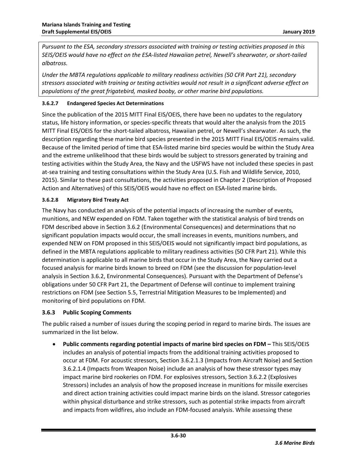*Pursuant to the ESA, secondary stressors associated with training or testing activities proposed in this SEIS/OEIS would have no effect on the ESA-listed Hawaiian petrel, Newell's shearwater, or short-tailed albatross.* 

*Under the MBTA regulations applicable to military readiness activities (50 CFR Part 21), secondary stressors associated with training or testing activities would not result in a significant adverse effect on populations of the great frigatebird, masked booby, or other marine bird populations.*

#### <span id="page-33-0"></span>**3.6.2.7 Endangered Species Act Determinations**

Since the publication of the 2015 MITT Final EIS/OEIS, there have been no updates to the regulatory status, life history information, or species-specific threats that would alter the analysis from the 2015 MITT Final EIS/OEIS for the short-tailed albatross, Hawaiian petrel, or Newell's shearwater. As such, the description regarding these marine bird species presented in the 2015 MITT Final EIS/OEIS remains valid. Because of the limited period of time that ESA-listed marine bird species would be within the Study Area and the extreme unlikelihood that these birds would be subject to stressors generated by training and testing activities within the Study Area, the Navy and the USFWS have not included these species in past at-sea training and testing consultations within the Study Area [\(U.S. Fish and Wildlife Service, 2010,](#page-39-0) [2015\)](#page-39-1). Similar to these past consultations, the activities proposed in Chapter 2 (Description of Proposed Action and Alternatives) of this SEIS/OEIS would have no effect on ESA-listed marine birds.

#### <span id="page-33-1"></span>**3.6.2.8 Migratory Bird Treaty Act**

The Navy has conducted an analysis of the potential impacts of increasing the number of events, munitions, and NEW expended on FDM. Taken together with the statistical analysis of bird trends on FDM described above in Section 3.6.2 (Environmental Consequences) and determinations that no significant population impacts would occur, the small increases in events, munitions numbers, and expended NEW on FDM proposed in this SEIS/OEIS would not significantly impact bird populations, as defined in the MBTA regulations applicable to military readiness activities (50 CFR Part 21). While this determination is applicable to all marine birds that occur in the Study Area, the Navy carried out a focused analysis for marine birds known to breed on FDM (see the discussion for population-level analysis in Section 3.6.2, Environmental Consequences). Pursuant with the Department of Defense's obligations under 50 CFR Part 21, the Department of Defense will continue to implement training restrictions on FDM (see Section 5.5, Terrestrial Mitigation Measures to be Implemented) and monitoring of bird populations on FDM.

#### <span id="page-33-2"></span>**3.6.3 Public Scoping Comments**

The public raised a number of issues during the scoping period in regard to marine birds. The issues are summarized in the list below.

 **Public comments regarding potential impacts of marine bird species on FDM –** This SEIS/OEIS includes an analysis of potential impacts from the additional training activities proposed to occur at FDM. For acoustic stressors, Section 3.6.2.1.3 (Impacts from Aircraft Noise) and Section 3.6.2.1.4 (Impacts from Weapon Noise) include an analysis of how these stressor types may impact marine bird rookeries on FDM. For explosives stressors, Section 3.6.2.2 (Explosives Stressors) includes an analysis of how the proposed increase in munitions for missile exercises and direct action training activities could impact marine birds on the island. Stressor categories within physical disturbance and strike stressors, such as potential strike impacts from aircraft and impacts from wildfires, also include an FDM-focused analysis. While assessing these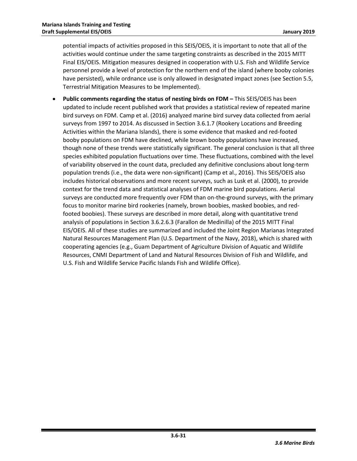potential impacts of activities proposed in this SEIS/OEIS, it is important to note that all of the activities would continue under the same targeting constraints as described in the 2015 MITT Final EIS/OEIS. Mitigation measures designed in cooperation with U.S. Fish and Wildlife Service personnel provide a level of protection for the northern end of the island (where booby colonies have persisted), while ordnance use is only allowed in designated impact zones (see Section 5.5, Terrestrial Mitigation Measures to be Implemented).

 **Public comments regarding the status of nesting birds on FDM –** This SEIS/OEIS has been updated to include recent published work that provides a statistical review of repeated marine bird surveys on FDM. Camp et al. (2016) analyzed marine bird survey data collected from aerial surveys from 1997 to 2014. As discussed in Section 3.6.1.7 (Rookery Locations and Breeding Activities within the Mariana Islands), there is some evidence that masked and red-footed booby populations on FDM have declined, while brown booby populations have increased, though none of these trends were statistically significant. The general conclusion is that all three species exhibited population fluctuations over time. These fluctuations, combined with the level of variability observed in the count data, precluded any definitive conclusions about long-term population trends (i.e., the data were non-significant) [\(Camp et al., 2016\)](#page-36-9). This SEIS/OEIS also includes historical observations and more recent surveys, such as Lusk et al. (2000), to provide context for the trend data and statistical analyses of FDM marine bird populations. Aerial surveys are conducted more frequently over FDM than on-the-ground surveys, with the primary focus to monitor marine bird rookeries (namely, brown boobies, masked boobies, and redfooted boobies). These surveys are described in more detail, along with quantitative trend analysis of populations in Section 3.6.2.6.3 (Farallon de Medinilla) of the 2015 MITT Final EIS/OEIS. All of these studies are summarized and included the Joint Region Marianas Integrated Natural Resources Management Plan [\(U.S. Department of the Navy, 2018\)](#page-39-8), which is shared with cooperating agencies (e.g., Guam Department of Agriculture Division of Aquatic and Wildlife Resources, CNMI Department of Land and Natural Resources Division of Fish and Wildlife, and U.S. Fish and Wildlife Service Pacific Islands Fish and Wildlife Office).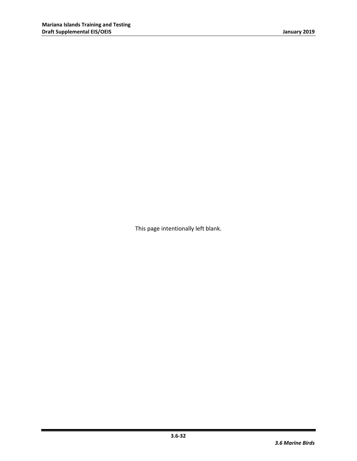This page intentionally left blank.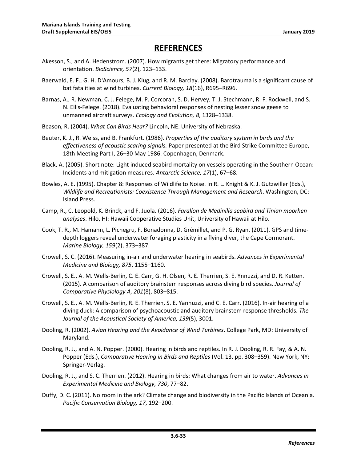# **REFERENCES**

- <span id="page-36-13"></span>Akesson, S., and A. Hedenstrom. (2007). How migrants get there: Migratory performance and orientation. *BioScience, 57*(2), 123–133.
- <span id="page-36-10"></span>Baerwald, E. F., G. H. D'Amours, B. J. Klug, and R. M. Barclay. (2008). Barotrauma is a significant cause of bat fatalities at wind turbines. *Current Biology, 18*(16), R695–R696.
- <span id="page-36-11"></span>Barnas, A., R. Newman, C. J. Felege, M. P. Corcoran, S. D. Hervey, T. J. Stechmann, R. F. Rockwell, and S. N. Ellis‐Felege. (2018). Evaluating behavioral responses of nesting lesser snow geese to unmanned aircraft surveys. *Ecology and Evolution, 8*, 1328–1338.
- <span id="page-36-1"></span>Beason, R. (2004). *What Can Birds Hear?* Lincoln, NE: University of Nebraska.
- <span id="page-36-4"></span>Beuter, K. J., R. Weiss, and B. Frankfurt. (1986). *Properties of the auditory system in birds and the effectiveness of acoustic scaring signals.* Paper presented at the Bird Strike Committee Europe, 18th Meeting Part I, 26–30 May 1986. Copenhagen, Denmark.
- Black, A. (2005). Short note: Light induced seabird mortality on vessels operating in the Southern Ocean: Incidents and mitigation measures. *Antarctic Science, 17*(1), 67–68.
- <span id="page-36-12"></span>Bowles, A. E. (1995). Chapter 8: Responses of Wildlife to Noise. In R. L. Knight & K. J. Gutzwiller (Eds.), *Wildlife and Recreationists: Coexistence Through Management and Research*. Washington, DC: Island Press.
- <span id="page-36-9"></span>Camp, R., C. Leopold, K. Brinck, and F. Juola. (2016). *Farallon de Medinilla seabird and Tinian moorhen analyses*. Hilo, HI: Hawaii Cooperative Studies Unit, University of Hawaii at Hilo.
- <span id="page-36-0"></span>Cook, T. R., M. Hamann, L. Pichegru, F. Bonadonna, D. Grémillet, and P. G. Ryan. (2011). GPS and timedepth loggers reveal underwater foraging plasticity in a flying diver, the Cape Cormorant. *Marine Biology, 159*(2), 373–387.
- <span id="page-36-6"></span>Crowell, S. C. (2016). Measuring in-air and underwater hearing in seabirds. *Advances in Experimental Medicine and Biology, 875*, 1155–1160.
- <span id="page-36-5"></span>Crowell, S. E., A. M. Wells-Berlin, C. E. Carr, G. H. Olsen, R. E. Therrien, S. E. Ynnuzzi, and D. R. Ketten. (2015). A comparison of auditory brainstem responses across diving bird species. *Journal of Comparative Physiology A, 201*(8), 803–815.
- Crowell, S. E., A. M. Wells-Berlin, R. E. Therrien, S. E. Yannuzzi, and C. E. Carr. (2016). In-air hearing of a diving duck: A comparison of psychoacoustic and auditory brainstem response thresholds. *The Journal of the Acoustical Society of America, 139*(5), 3001.
- <span id="page-36-2"></span>Dooling, R. (2002). *Avian Hearing and the Avoidance of Wind Turbines*. College Park, MD: University of Maryland.
- <span id="page-36-3"></span>Dooling, R. J., and A. N. Popper. (2000). Hearing in birds and reptiles. In R. J. Dooling, R. R. Fay, & A. N. Popper (Eds.), *Comparative Hearing in Birds and Reptiles* (Vol. 13, pp. 308–359). New York, NY: Springer-Verlag.
- <span id="page-36-7"></span>Dooling, R. J., and S. C. Therrien. (2012). Hearing in birds: What changes from air to water. *Advances in Experimental Medicine and Biology, 730*, 77–82.
- <span id="page-36-8"></span>Duffy, D. C. (2011). No room in the ark? Climate change and biodiversity in the Pacific Islands of Oceania. *Pacific Conservation Biology, 17*, 192–200.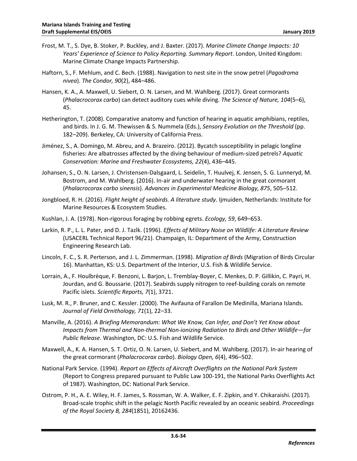- <span id="page-37-7"></span>Frost, M. T., S. Dye, B. Stoker, P. Buckley, and J. Baxter. (2017). *Marine Climate Change Impacts: 10 Years' Experience of Science to Policy Reporting. Summary Report*. London, United Kingdom: Marine Climate Change Impacts Partnership.
- Haftorn, S., F. Mehlum, and C. Bech. (1988). Navigation to nest site in the snow petrel (*Pagodroma nivea*). *The Condor, 90*(2), 484–486.
- <span id="page-37-6"></span>Hansen, K. A., A. Maxwell, U. Siebert, O. N. Larsen, and M. Wahlberg. (2017). Great cormorants (*Phalacrocorax carbo*) can detect auditory cues while diving. *The Science of Nature, 104*(5–6), 45.
- <span id="page-37-5"></span>Hetherington, T. (2008). Comparative anatomy and function of hearing in aquatic amphibians, reptiles, and birds. In J. G. M. Thewissen & S. Nummela (Eds.), *Sensory Evolution on the Threshold* (pp. 182–209). Berkeley, CA: University of California Press.
- <span id="page-37-0"></span>Jiménez, S., A. Domingo, M. Abreu, and A. Brazeiro. (2012). Bycatch susceptibility in pelagic longline fisheries: Are albatrosses affected by the diving behaviour of medium-sized petrels? *Aquatic Conservation: Marine and Freshwater Ecosystems, 22*(4), 436–445.
- <span id="page-37-3"></span>Johansen, S., O. N. Larsen, J. Christensen-Dalsgaard, L. Seidelin, T. Huulvej, K. Jensen, S. G. Lunneryd, M. Bostrom, and M. Wahlberg. (2016). In-air and underwater hearing in the great cormorant (*Phalacrocorax carbo sinensis*). *Advances in Experimental Medicine Biology, 875*, 505–512.
- <span id="page-37-1"></span>Jongbloed, R. H. (2016). *Flight height of seabirds. A literature study*. Ijmuiden, Netherlands: Institute for Marine Resources & Ecosystem Studies.
- <span id="page-37-12"></span>Kushlan, J. A. (1978). Non-rigorous foraging by robbing egrets. *Ecology, 59*, 649–653.
- <span id="page-37-10"></span>Larkin, R. P., L. L. Pater, and D. J. Tazlk. (1996). *Effects of Military Noise on Wildlife: A Literature Review* (USACERL Technical Report 96/21). Champaign, IL: Department of the Army, Construction Engineering Research Lab.
- <span id="page-37-2"></span>Lincoln, F. C., S. R. Perterson, and J. L. Zimmerman. (1998). *Migration of Birds* (Migration of Birds Circular 16). Manhattan, KS: U.S. Department of the Interior, U.S. Fish & Wildlife Service.
- <span id="page-37-8"></span>Lorrain, A., F. Houlbrèque, F. Benzoni, L. Barjon, L. Tremblay-Boyer, C. Menkes, D. P. Gillikin, C. Payri, H. Jourdan, and G. Boussarie. (2017). Seabirds supply nitrogen to reef-building corals on remote Pacific islets. *Scientific Reports, 7*(1), 3721.
- Lusk, M. R., P. Bruner, and C. Kessler. (2000). The Avifauna of Farallon De Medinilla, Mariana Islands. *Journal of Field Ornithology, 71*(1), 22–33.
- <span id="page-37-13"></span>Manville, A. (2016). *A Briefing Memorandum: What We Know, Can Infer, and Don't Yet Know about Impacts from Thermal and Non-thermal Non-ionizing Radiation to Birds and Other Wildlife—for Public Release*. Washington, DC: U.S. Fish and Wildlife Service.
- <span id="page-37-4"></span>Maxwell, A., K. A. Hansen, S. T. Ortiz, O. N. Larsen, U. Siebert, and M. Wahlberg. (2017). In-air hearing of the great cormorant (*Phalacrocorax carbo*). *Biology Open, 6*(4), 496–502.
- <span id="page-37-11"></span>National Park Service. (1994). *Report on Effects of Aircraft Overflights on the National Park System* (Report to Congress prepared pursuant to Public Law 100-191, the National Parks Overflights Act of 1987). Washington, DC: National Park Service.
- <span id="page-37-9"></span>Ostrom, P. H., A. E. Wiley, H. F. James, S. Rossman, W. A. Walker, E. F. Zipkin, and Y. Chikaraishi. (2017). Broad-scale trophic shift in the pelagic North Pacific revealed by an oceanic seabird. *Proceedings of the Royal Society B, 284*(1851), 20162436.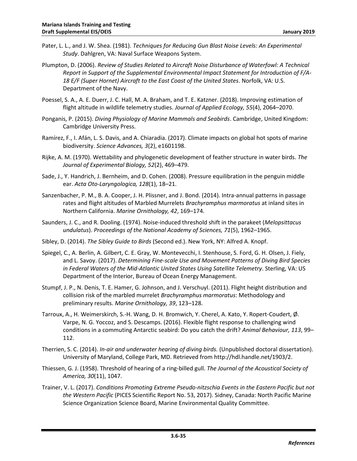- <span id="page-38-12"></span>Pater, L. L., and J. W. Shea. (1981). *Techniques for Reducing Gun Blast Noise Levels: An Experimental Study*. Dahlgren, VA: Naval Surface Weapons System.
- <span id="page-38-11"></span>Plumpton, D. (2006). *Review of Studies Related to Aircraft Noise Disturbance of Waterfowl: A Technical Report in Support of the Supplemental Environmental Impact Statement for Introduction of F/A-18 E/F (Super Hornet) Aircraft to the East Coast of the United States*. Norfolk, VA: U.S. Department of the Navy.
- <span id="page-38-2"></span>Poessel, S. A., A. E. Duerr, J. C. Hall, M. A. Braham, and T. E. Katzner. (2018). Improving estimation of flight altitude in wildlife telemetry studies. *Journal of Applied Ecology, 55*(4), 2064–2070.
- <span id="page-38-1"></span>Ponganis, P. (2015). *Diving Physiology of Marine Mammals and Seabirds*. Cambridge, United Kingdom: Cambridge University Press.
- <span id="page-38-7"></span>Ramírez, F., I. Afán, L. S. Davis, and A. Chiaradia. (2017). Climate impacts on global hot spots of marine biodiversity. *Science Advances, 3*(2), e1601198.
- <span id="page-38-5"></span>Rijke, A. M. (1970). Wettability and phylogenetic development of feather structure in water birds. *The Journal of Experimental Biology, 52*(2), 469–479.
- <span id="page-38-6"></span>Sade, J., Y. Handrich, J. Bernheim, and D. Cohen. (2008). Pressure equilibration in the penguin middle ear. *Acta Oto-Laryngologica, 128*(1), 18–21.
- Sanzenbacher, P. M., B. A. Cooper, J. H. Plissner, and J. Bond. (2014). Intra-annual patterns in passage rates and flight altitudes of Marbled Murrelets *Brachyramphus marmoratus* at inland sites in Northern California. *Marine Ornithology, 42*, 169–174.
- <span id="page-38-10"></span>Saunders, J. C., and R. Dooling. (1974). Noise-induced threshold shift in the parakeet (*Melopsittacus undulatus*). *Proceedings of the National Academy of Sciences, 71*(5), 1962–1965.
- <span id="page-38-0"></span>Sibley, D. (2014). *The Sibley Guide to Birds* (Second ed.). New York, NY: Alfred A. Knopf.
- Spiegel, C., A. Berlin, A. Gilbert, C. E. Gray, W. Montevecchi, I. Stenhouse, S. Ford, G. H. Olsen, J. Fiely, and L. Savoy. (2017). *Determining Fine-scale Use and Movement Patterns of Diving Bird Species in Federal Waters of the Mid-Atlantic United States Using Satellite Telemetry*. Sterling, VA: US Department of the Interior, Bureau of Ocean Energy Management.
- Stumpf, J. P., N. Denis, T. E. Hamer, G. Johnson, and J. Verschuyl. (2011). Flight height distribution and collision risk of the marbled murrelet *Brachyramphus marmoratus*: Methodology and preliminary results. *Marine Ornithology, 39*, 123–128.
- <span id="page-38-3"></span>Tarroux, A., H. Weimerskirch, S.-H. Wang, D. H. Bromwich, Y. Cherel, A. Kato, Y. Ropert-Coudert, Ø. Varpe, N. G. Yoccoz, and S. Descamps. (2016). Flexible flight response to challenging wind conditions in a commuting Antarctic seabird: Do you catch the drift? *Animal Behaviour, 113*, 99– 112.
- <span id="page-38-9"></span>Therrien, S. C. (2014). *In-air and underwater hearing of diving birds.* (Unpublished doctoral dissertation). University of Maryland, College Park, MD. Retrieved from [http://hdl.handle.net/1903/2.](http://hdl.handle.net/1903/2)
- <span id="page-38-4"></span>Thiessen, G. J. (1958). Threshold of hearing of a ring-billed gull. *The Journal of the Acoustical Society of America, 30*(11), 1047.
- <span id="page-38-8"></span>Trainer, V. L. (2017). *Conditions Promoting Extreme Pseudo-nitzschia Events in the Eastern Pacific but not the Western Pacific* (PICES Scientific Report No. 53, 2017). Sidney, Canada: North Pacific Marine Science Organization Science Board, Marine Environmental Quality Committee.